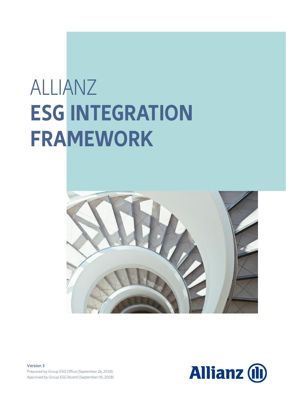# ALLIANZ **ESG INTEGRATION FRAMEWORK**



**Version 3** Prepared by Group ESG Office (September 26, 2018) Approved by Group ESG Board (September 05, 2018)

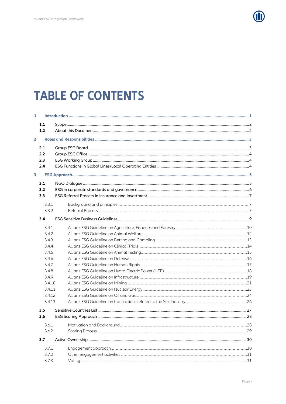

## **TABLE OF CONTENTS**

| $\mathbf{1}$   |        |  |  |
|----------------|--------|--|--|
|                | 1.1    |  |  |
|                | 1.2    |  |  |
| $\overline{2}$ |        |  |  |
|                | 2.1    |  |  |
|                | 2.2    |  |  |
|                | 2.3    |  |  |
|                | 2.4    |  |  |
| 3              |        |  |  |
|                | 3.1    |  |  |
|                | 3.2    |  |  |
|                | 3.3    |  |  |
|                | 3.3.1  |  |  |
|                | 3.3.2  |  |  |
|                | 3.4    |  |  |
|                | 3.4.1  |  |  |
|                | 3.4.2  |  |  |
|                | 3.4.3  |  |  |
|                | 3.4.4  |  |  |
|                | 3.4.5  |  |  |
|                | 3.4.6  |  |  |
|                | 3.4.7  |  |  |
|                | 3.4.8  |  |  |
|                | 3.4.9  |  |  |
|                | 3.4.10 |  |  |
|                | 3.4.11 |  |  |
|                | 3.4.12 |  |  |
|                | 3.4.13 |  |  |
|                | 3.5    |  |  |
|                | 3.6    |  |  |
|                | 3.6.1  |  |  |
|                | 3.6.2  |  |  |
|                | 3.7    |  |  |
|                | 3.7.1  |  |  |
|                | 3.7.2  |  |  |
|                | 3.7.3  |  |  |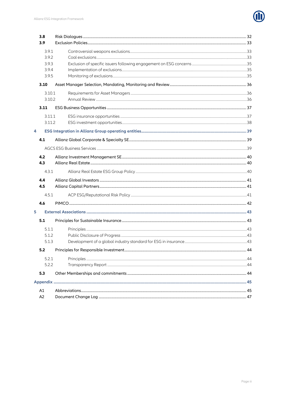

|                | 3.8    |  |  |
|----------------|--------|--|--|
|                | 3.9    |  |  |
|                | 3.9.1  |  |  |
| 3.9.2<br>3.9.3 |        |  |  |
|                |        |  |  |
|                | 3.9.4  |  |  |
|                | 3.9.5  |  |  |
|                | 3.10   |  |  |
| 3.10.1         |        |  |  |
|                | 3.10.2 |  |  |
|                | 3.11   |  |  |
|                | 3.11.1 |  |  |
|                | 3.11.2 |  |  |
| 4              |        |  |  |
|                | 4.1    |  |  |
|                |        |  |  |
|                | 4.2    |  |  |
|                | 4.3    |  |  |
|                | 4.3.1  |  |  |
|                | 4.4    |  |  |
|                | 4.5    |  |  |
|                | 4.5.1  |  |  |
|                | 4.6    |  |  |
| 5              |        |  |  |
|                | 5.1    |  |  |
|                | 5.1.1  |  |  |
|                | 5.1.2  |  |  |
|                | 5.1.3  |  |  |
|                | 5.2    |  |  |
|                | 5.2.1  |  |  |
|                | 5.2.2  |  |  |
|                | 5.3    |  |  |
|                |        |  |  |
|                | A1     |  |  |
|                | A2     |  |  |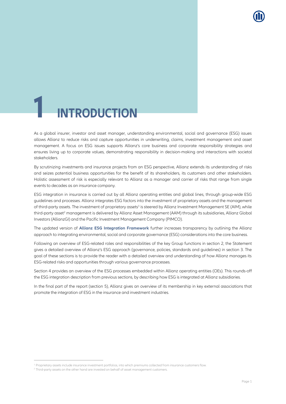

## <span id="page-3-0"></span>**1 INTRODUCTION**

As a global insurer, investor and asset manager, understanding environmental, social and governance (ESG) issues allows Allianz to reduce risks and capture opportunities in underwriting, claims, investment management and asset management. A focus on ESG issues supports Allianz's core business and corporate responsibility strategies and ensures living up to corporate values, demonstrating responsibility in decision-making and interactions with societal stakeholders.

By scrutinizing investments and insurance projects from an ESG perspective, Allianz extends its understanding of risks and seizes potential business opportunities for the benefit of its shareholders, its customers and other stakeholders. Holistic assessment of risk is especially relevant to Allianz as a manager and carrier of risks that range from single events to decades as an insurance company.

ESG integration in insurance is carried out by all Allianz operating entities and global lines, through group-wide ESG guidelines and processes. Allianz integrates ESG factors into the investment of proprietary assets and the management of third-party assets. The investment of proprietary assets<sup>1</sup> is steered by Allianz Investment Management SE (AIM), while third-party asset<sup>2</sup> management is delivered by Allianz Asset Management (AAM) through its subsidiaries, Allianz Global Investors (AllianzGI) and the Pacific Investment Management Company (PIMCO).

The updated version of **Allianz ESG Integration Framework** further increases transparency by outlining the Allianz approach to integrating environmental, social and corporate governance (ESG) considerations into the core business.

Following an overview of ESG-related roles and responsibilities of the key Group functions in section [2,](#page-5-0) the Statement gives a detailed overview of Allianz's ESG approach (governance, policies, standards and guidelines) in section [3.](#page-7-0) The goal of these sections is to provide the reader with a detailed overview and understanding of how Allianz manages its ESG-related risks and opportunities through various governance processes.

Section [4](#page-41-0) provides an overview of the ESG processes embedded within Allianz operating entities (OEs). This rounds-off the ESG integration description from previous sections, by describing how ESG is integrated at Allianz subsidiaries.

In the final part of the report (section [5\)](#page-45-0), Allianz gives an overview of its membership in key external associations that promote the integration of ESG in the insurance and investment industries.

 $\overline{a}$ 

<sup>&</sup>lt;sup>1</sup> Proprietary assets include insurance investment portfolios, into which premiums collected from insurance customers flow.

<sup>&</sup>lt;sup>2</sup> Third-party assets on the other hand are invested on behalf of asset management customers.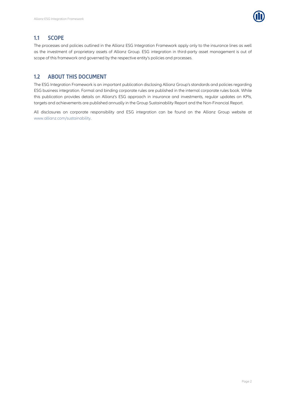

## <span id="page-4-0"></span>**1.1 SCOPE**

The processes and policies outlined in the Allianz ESG Integration Framework apply only to the insurance lines as well as the investment of proprietary assets of Allianz Group. ESG integration in third-party asset management is out of scope of this framework and governed by the respective entity's policies and processes.

## <span id="page-4-1"></span>**1.2 ABOUT THIS DOCUMENT**

The ESG Integration Framework is an important publication disclosing Allianz Group's standards and policies regarding ESG business integration. Formal and binding corporate rules are published in the internal corporate rules book. While this publication provides details on Allianz's ESG approach in insurance and investments, regular updates on KPIs, targets and achievements are published annually in the Group Sustainability Report and the Non-Financial Report.

All disclosures on corporate responsibility and ESG integration can be found on the Allianz Group website at [www.allianz.com/sustainability.](http://www.allianz.com/sustainability)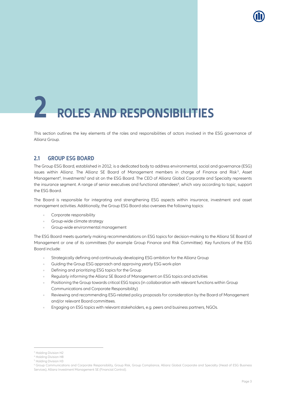# <span id="page-5-0"></span>**2 ROLES AND RESPONSIBILITIES**

This section outlines the key elements of the roles and responsibilities of actors involved in the ESG governance of Allianz Group.

## <span id="page-5-1"></span>**2.1 GROUP ESG BOARD**

The Group ESG Board, established in 2012, is a dedicated body to address environmental, social and governance (ESG) issues within Allianz. The Allianz SE Board of Management members in charge of Finance and Risk<sup>3</sup>, Asset Management<sup>4</sup>, Investments<sup>5</sup> and sit on the ESG Board. The CEO of Allianz Global Corporate and Specialty represents the insurance segment. A range of senior executives and functional attendees<sup>6</sup>, which vary according to topic, support the ESG Board.

The Board is responsible for integrating and strengthening ESG aspects within insurance, investment and asset management activities. Additionally, the Group ESG Board also oversees the following topics:

- Corporate responsibility
- Group-wide climate strategy  $\alpha$
- Group-wide environmental management

The ESG Board meets quarterly making recommendations on ESG topics for decision-making to the Allianz SE Board of Management or one of its committees (for example Group Finance and Risk Committee). Key functions of the ESG Board include:

- Strategically defining and continuously developing ESG ambition for the Allianz Group
- Guiding the Group ESG approach and approving yearly ESG work-plan
- Defining and prioritizing ESG topics for the Group
- Regularly informing the Allianz SE Board of Management on ESG topics and activities
- Positioning the Group towards critical ESG topics (in collaboration with relevant functions within Group Communications and Corporate Responsibility)
- Reviewing and recommending ESG-related policy proposals for consideration by the Board of Management and/or relevant Board committees.
- Engaging on ESG topics with relevant stakeholders, e.g. peers and business partners, NGOs.

1

<sup>&</sup>lt;sup>3</sup> Holding Division H2

<sup>4</sup> Holding Division H8

<sup>5</sup> Holding Division H3

<sup>&</sup>lt;sup>6</sup> Group Communications and Corporate Responsibility, Group Risk, Group Compliance, Allianz Global Corporate and Specialty (Head of ESG Business Services), Allianz Investment Management SE (Financial Control).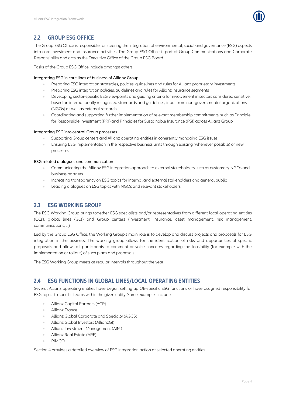

## <span id="page-6-0"></span>**2.2 GROUP ESG OFFICE**

The Group ESG Office is responsible for steering the integration of environmental, social and governance (ESG) aspects into core investment and insurance activities. The Group ESG Office is part of Group Communications and Corporate Responsibility and acts as the Executive Office of the Group ESG Board.

Tasks of the Group ESG Office include amongst others:

#### Integrating ESG in core lines of business of Allianz Group

- Preparing ESG integration strategies, policies, guidelines and rules for Allianz proprietary investments  $\alpha$
- Preparing ESG integration policies, guidelines and rules for Allianz insurance segments
- Developing sector-specific ESG viewpoints and guiding criteria for involvement in sectors considered sensitive, based on internationally recognized standards and guidelines, input from non-governmental organizations (NGOs) as well as external research
- Coordinating and supporting further implementation of relevant membership commitments, such as Principle for Responsible Investment (PRI) and Principles for Sustainable Insurance (PSI) across Allianz Group

#### Integrating ESG into central Group processes

- Supporting Group centers and Allianz operating entities in coherently managing ESG issues
- Ensuring ESG implementation in the respective business units through existing (whenever possible) or new processes

#### ESG related dialogues and communication

- Communicating the Allianz ESG integration approach to external stakeholders such as customers, NGOs and business partners
- Increasing transparency on ESG topics for internal and external stakeholders and general public
- Leading dialogues on ESG topics with NGOs and relevant stakeholders

## <span id="page-6-1"></span>**2.3 ESG WORKING GROUP**

The ESG Working Group brings together ESG specialists and/or representatives from different local operating entities (OEs), global lines (GLs) and Group centers (investment, insurance, asset management, risk management, communications, …).

Led by the Group ESG Office, the Working Group's main role is to develop and discuss projects and proposals for ESG integration in the business. The working group allows for the identification of risks and opportunities of specific proposals and allows all participants to comment or voice concerns regarding the feasibility (for example with the implementation or rollout) of such plans and proposals.

The ESG Working Group meets at regular intervals throughout the year.

## <span id="page-6-2"></span>**2.4 ESG FUNCTIONS IN GLOBAL LINES/LOCAL OPERATING ENTITIES**

Several Allianz operating entities have begun setting up OE-specific ESG functions or have assigned responsibility for ESG topics to specific teams within the given entity. Some examples include

- Allianz Capital Partners (ACP)  $\sim$
- Allianz France  $\alpha$
- Allianz Global Corporate and Specialty (AGCS)
- Allianz Global Investors (AllianzGI)
- Allianz Investment Management (AIM)
- Allianz Real Estate (ARE)
- PIMCO

Section [4](#page-41-0) provides a detailed overview of ESG integration action at selected operating entities.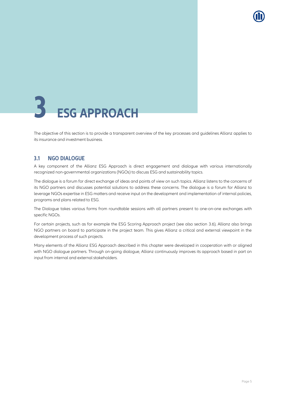# <span id="page-7-0"></span>**3 ESG APPROACH**

The objective of this section is to provide a transparent overview of the key processes and guidelines Allianz applies to its insurance and investment business.

## <span id="page-7-1"></span>**3.1 NGO DIALOGUE**

A key component of the Allianz ESG Approach is direct engagement and dialogue with various internationally recognized non-governmental organizations (NGOs) to discuss ESG and sustainability topics.

The dialogue is a forum for direct exchange of ideas and points of view on such topics. Allianz listens to the concerns of its NGO partners and discusses potential solutions to address these concerns. The dialogue is a forum for Allianz to leverage NGOs expertise in ESG matters and receive input on the development and implementation of internal policies, programs and plans related to ESG.

The Dialogue takes various forms from roundtable sessions with all partners present to one-on-one exchanges with specific NGOs.

For certain projects, such as for example the ESG Scoring Approach project (see also section [3.6\)](#page-30-0), Allianz also brings NGO partners on board to participate in the project team. This gives Allianz a critical and external viewpoint in the development process of such projects.

Many elements of the Allianz ESG Approach described in this chapter were developed in cooperation with or aligned with NGO dialogue partners. Through on-going dialogue, Allianz continuously improves its approach based in part on input from internal and external stakeholders.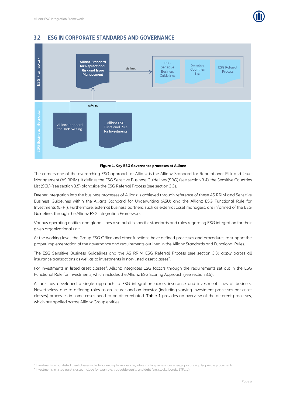



## <span id="page-8-0"></span>**3.2 ESG IN CORPORATE STANDARDS AND GOVERNANCE**

#### **Figure 1. Key ESG Governance processes at Allianz**

The cornerstone of the overarching ESG approach at Allianz is the Allianz Standard for Reputational Risk and Issue Management (AS RRIM). It defines the ESG Sensitive Business Guidelines (SBG) (see sectio[n 3.4\)](#page-11-0), the Sensitive Countries List (SCL) (see section [3.5\)](#page-29-0) alongside the ESG Referral Process (see sectio[n 3.3\)](#page-9-0).

Deeper integration into the business processes of Allianz is achieved through reference of these AS RRIM and Sensitive Business Guidelines within the Allianz Standard for Underwriting (ASU) and the Allianz ESG Functional Rule for Investments (EFRI). Furthermore, external business partners, such as external asset managers, are informed of the ESG Guidelines through the Allianz ESG Integration Framework.

Various operating entities and global lines also publish specific standards and rules regarding ESG integration for their given organizational unit.

At the working level, the Group ESG Office and other functions have defined processes and procedures to support the proper implementation of the governance and requirements outlined in the Allianz Standards and Functional Rules.

The ESG Sensitive Business Guidelines and the AS RRIM ESG Referral Process (see section [3.3\)](#page-9-0) apply across all insurance transactions as well as to investments in non-listed asset classes<sup>7</sup>.

For investments in listed asset classes<sup>8</sup>, Allianz integrates ESG factors through the requirements set out in the ESG Functional Rule for Investments, which includes the Allianz ESG Scoring Approach (see sectio[n 3.6\)](#page-30-0) .

Allianz has developed a single approach to ESG integration across insurance and investment lines of business. Nevertheless, due to differing roles as an insurer and an investor (including varying investment processes per asset classes) processes in some cases need to be differentiated. [Table 1](#page-9-3) provides an overview of the different processes, which are applied across Allianz Group entities.

 $\overline{a}$ 

<sup>&</sup>lt;sup>7</sup> Investments in non-listed asset classes include for example: real estate, infrastructure, renewable energy, private equity, private placements.

<sup>&</sup>lt;sup>8</sup> Investments in listed asset classes include for example: tradeable equity and debt (e.g. stocks, bonds, ETFs, ...).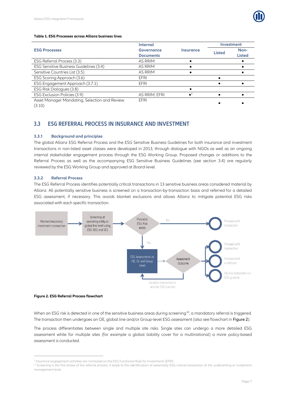

#### <span id="page-9-3"></span>**Table 1. ESG Processes across Allianz business lines**

|                                               | <b>Internal</b>   |                                |               | <b>Investment</b> |  |
|-----------------------------------------------|-------------------|--------------------------------|---------------|-------------------|--|
| <b>ESG Processes</b>                          | <b>Governance</b> | <i><u><b>Insurance</b></u></i> | <b>Listed</b> | Non-              |  |
|                                               | <b>Documents</b>  |                                |               | <b>Listed</b>     |  |
| ESG Referral Process (3.3)                    | AS RRIM           |                                |               |                   |  |
| ESG Sensitive Business Guidelines (3.4)       | AS RRIM           |                                |               |                   |  |
| Sensitive Countries List (3.5)                | AS RRIM           |                                |               |                   |  |
| ESG Scoring Approach (3.6)                    | <b>EFRI</b>       |                                |               |                   |  |
| ESG Engagement Approach (3.7.1)               | EFRI              |                                |               |                   |  |
| ESG Risk Dialogues (3.8)                      |                   |                                |               |                   |  |
| ESG Exclusion Policies (3.9)                  | AS RRIM, EFRI     |                                |               |                   |  |
| Asset Manager Mandating, Selection and Review | EFRI              |                                |               |                   |  |
| (2.42)                                        |                   |                                |               |                   |  |

<span id="page-9-0"></span>[\(3.10\)](#page-38-0)

## **3.3 ESG REFERRAL PROCESS IN INSURANCE AND INVESTMENT**

#### <span id="page-9-1"></span>**3.3.1 Background and principles**

The global Allianz ESG Referral Process and the ESG Sensitive Business Guidelines for both insurance and investment transactions in non-listed asset classes were developed in 2013, through dialogue with NGOs as well as an ongoing internal stakeholder engagement process through the ESG Working Group. Proposed changes or additions to the Referral Process as well as the accompanying ESG Sensitive Business Guidelines (see section [3.4\)](#page-11-0) are regularly reviewed by the ESG Working Group and approved at Board-level.

#### <span id="page-9-2"></span>**3.3.2 Referral Process**

The ESG Referral Process identifies potentially critical transactions in 13 sensitive business areas considered material by Allianz. All potentially sensitive business is screened on a transaction-by-transaction basis and referred for a detailed ESG assessment, if necessary. This avoids blanket exclusions and allows Allianz to mitigate potential ESG risks associated with each specific transaction.



#### <span id="page-9-4"></span>**Figure 2. ESG Referral Process flowchart**

 $\overline{a}$ 

When an ESG risk is detected in one of the sensitive business areas during screening<sup>10</sup>, a mandatory referral is triggered. The transaction then undergoes an OE, global line and/or Group-level ESG assessment (also see flowchart in [Figure 2](#page-9-4)).

The process differentiates between single and multiple site risks. Single sites can undergo a more detailed ESG assessment while for multiple sites (for example a global liability cover for a multinational) a more policy-based assessment is conducted.

<sup>9</sup> Insurance engagement activities are not based on the ESG Functional Rule for Investments (EFRI).

<sup>&</sup>lt;sup>10</sup> Screening is the first phase of the referral process. It leads to the identification of potentially ESG-critical transaction at the underwriting or investment management level.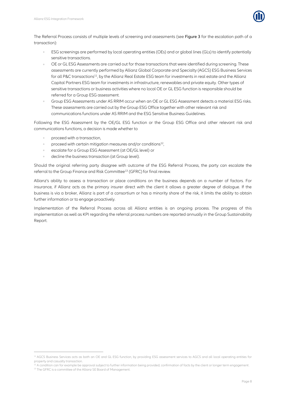

The Referral Process consists of multiple levels of screening and assessments (see [Figure 3](#page-11-1) for the escalation path of a transaction):

- ESG screenings are performed by local operating entities (OEs) and or global lines (GLs) to identify potentially sensitive transactions.
- OE or GL ESG Assessments are carried out for those transactions that were identified during screening. These assessments are currently performed by Allianz Global Corporate and Specialty (AGCS) ESG Business Services for all P&C transactions<sup>11</sup>, by the Allianz Real Estate ESG team for investments in real estate and the Allianz Capital Partners ESG team for investments in infrastructure, renewables and private equity. Other types of sensitive transactions or business activities where no local OE or GL ESG function is responsible should be referred for a Group ESG assessment.
- Group ESG Assessments under AS RRIM occur when an OE or GL ESG Assessment detects a material ESG risks. These assessments are carried out by the Group ESG Office together with other relevant risk and communications functions under AS RRIM and the ESG Sensitive Business Guidelines.

Following the ESG Assessment by the OE/GL ESG function or the Group ESG Office and other relevant risk and communications functions, a decision is made whether to

proceed with a transaction,

1

- proceed with certain mitigation measures and/or conditions<sup>12</sup>,  $\hat{\mathbf{0}}$ ,
- escalate for a Group ESG Assessment (at OE/GL level) or
- decline the business transaction (at Group level).

Should the original referring party disagree with outcome of the ESG Referral Process, the party can escalate the referral to the Group Finance and Risk Committee<sup>13</sup> (GFRC) for final review.

Allianz's ability to assess a transaction or place conditions on the business depends on a number of factors. For insurance, if Allianz acts as the primary insurer direct with the client it allows a greater degree of dialogue. If the business is via a broker, Allianz is part of a consortium or has a minority share of the risk, it limits the ability to obtain further information or to engage proactively.

Implementation of the Referral Process across all Allianz entities is an ongoing process. The progress of this implementation as well as KPI regarding the referral process numbers are reported annually in the Group Sustainability Report.

<sup>&</sup>lt;sup>11</sup> AGCS Business Services acts as both an OE and GL ESG function, by providing ESG assessment services to AGCS and all local operating entities for property and casualty transaction.

<sup>&</sup>lt;sup>2</sup> A condition can for example be approval subject to further information being provided, confirmation of facts by the client or longer term engagement. <sup>13</sup> The GFRC is a committee of the Allianz SE Board of Management.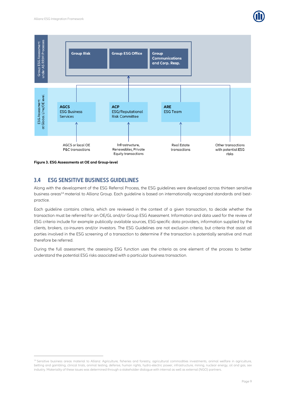



<span id="page-11-1"></span><span id="page-11-0"></span>**Figure 3. ESG Assessments at OE and Group-level**

 $\overline{a}$ 

## **3.4 ESG SENSITIVE BUSINESS GUIDELINES**

Along with the development of the ESG Referral Process, the ESG guidelines were developed across thirteen sensitive business areas<sup>14</sup> material to Allianz Group. Each guideline is based on internationally recognized standards and bestpractice.

Each guideline contains criteria, which are reviewed in the context of a given transaction, to decide whether the transaction must be referred for an OE/GL and/or Group ESG Assessment. Information and data used for the review of ESG criteria include for example publically available sources, ESG-specific data providers, information supplied by the clients, brokers, co-insurers and/or investors. The ESG Guidelines are not exclusion criteria, but criteria that assist all parties involved in the ESG screening of a transaction to determine if the transaction is potentially sensitive and must therefore be referred.

During the full assessment, the assessing ESG function uses the criteria as one element of the process to better understand the potential ESG risks associated with a particular business transaction.

<sup>&</sup>lt;sup>14</sup> Sensitive business areas material to Allianz: Agriculture, fisheries and forestry, agricultural commodities investments, animal welfare in agriculture, betting and gambling, clinical trials, animal testing, defense, human rights, hydro-electric power, infrastructure, mining, nuclear energy, oil and gas, sex industry. Materiality of these issues was determined through a stakeholder dialogue with internal as well as external (NGO) partners.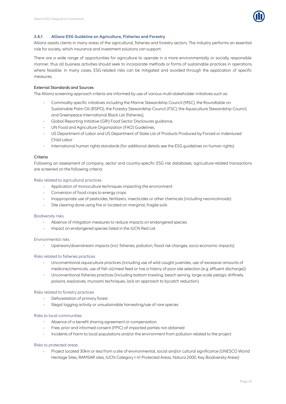

#### <span id="page-12-0"></span>**3.4.1 Allianz ESG Guideline on Agriculture, Fisheries and Forestry**

Allianz assists clients in many areas of the agricultural, fisheries and forestry sectors. The industry performs an essential role for society, which insurance and investment solutions can support.

There are a wide range of opportunities for agriculture to operate in a more environmentally or socially responsible manner, thus all business activities should seek to incorporate methods or forms of sustainable practices in operations where feasible. In many cases, ESG-related risks can be mitigated and avoided through the application of specific measures.

#### External Standards and Sources

The Allianz screening approach criteria are informed by use of various multi-stakeholder initiatives such as:

- Commodity specific initiatives including the Marine Stewardship Council (MSC), the Roundtable on Sustainable Palm Oil (RSPO), the Forestry Stewardship Council (FSC), the Aquaculture Stewardship Council, and Greenpeace International Black List (fisheries),
- Global Reporting Initiative (GRI) Food Sector Disclosures guidance,
- UN Food and Agriculture Organization (FAO) Guidelines,
- US Department of Labor and US Department of State List of Products Produced by Forced or Indentured Child Labor
- International human rights standards (for additional details see the ESG guidelines on human rights)  $\alpha$

#### Criteria

Following an assessment of company, sector and country-specific ESG risk databases, agriculture-related transactions are screened on the following criteria:

#### Risks related to agricultural practices

- Application of monoculture techniques impacting the environment  $\alpha$
- Conversion of food crops to energy crops
- Inappropriate use of pesticides, fertilizers, insecticides or other chemicals (including neonicotinoids)
- Site clearing done using fire or located on marginal, fragile soils

#### Biodiversity risks

- Absence of mitigation measures to reduce impacts on endangered species
- Impact on endangered species listed in the IUCN Red List

#### Environmental risks

 $\alpha$ Upstream/downstream impacts (incl. fisheries, pollution, flood risk changes, socio-economic impacts)

#### Risks related to fisheries practices

- Unconventional aquaculture practices (including use of wild caught juveniles, use of excessive amounts of medicine/chemicals, use of fish oil/meal feed or has a history of poor site selection (e.g. effluent discharge))
- Unconventional fisheries practices (including bottom trawling, beach seining, large-scale pelagic driftnets, poisons, explosives, muroami techniques, lack an approach to bycatch reduction)

#### Risks related to forestry practices

- Deforestation of primary forest
- Illegal logging activity or unsustainable harvesting/use of rare species

#### Risks to local communities

- Absence of a benefit sharing agreement or compensation
- Free, prior and informed consent (FPIC) of impacted parties not obtained
- Incidents of harm to local populations and/or the environment from pollution related to the project

#### Risks to protected areas

Project located 30km or less from a site of environmental, social and/or cultural significance (UNESCO World Heritage Sites, RAMSAR sites, IUCN Category I-VI Protected Areas, Natura 2000, Key Biodiversity Areas)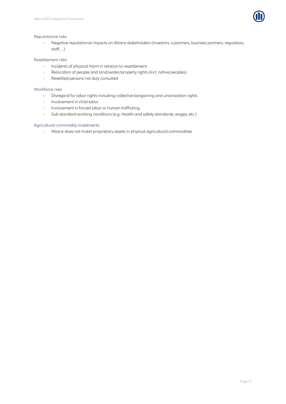

#### Reputational risks

Negative reputational impacts on Allianz stakeholders (investors, customers, business partners, regulators,  $\alpha$ staff, ...)

#### Resettlement risks

- $\hat{\theta}$ Incidents of physical harm in relation to resettlement
- Relocation of people and land/water/property rights (incl. native peoples)  $\alpha$
- Resettled persons not duly consulted  $\hat{\mathcal{O}}$

#### Workforce risks

- Disregard for labor rights including collective bargaining and unionization rights  $\alpha$
- Involvement in child labor  $\alpha$
- Involvement in forced labor or human trafficking  $\alpha$
- Sub-standard working conditions (e.g. Health and safety standards, wages, etc.)  $\bar{a}$

#### Agricultural commodity investments

Allianz does not invest proprietary assets in physical agricultural commodities $\alpha$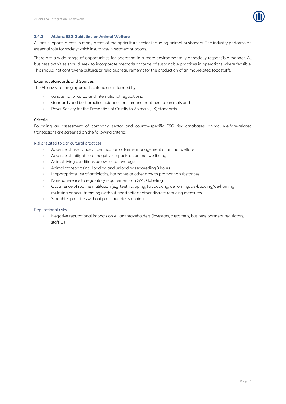

#### <span id="page-14-0"></span>**3.4.2 Allianz ESG Guideline on Animal Welfare**

Allianz supports clients in many areas of the agriculture sector including animal husbandry. The industry performs an essential role for society which insurance/investment supports.

There are a wide range of opportunities for operating in a more environmentally or socially responsible manner. All business activities should seek to incorporate methods or forms of sustainable practices in operations where feasible. This should not contravene cultural or religious requirements for the production of animal-related foodstuffs.

#### External Standards and Sources

The Allianz screening approach criteria are informed by

- various national, EU and international regulations,
- standards and best practice guidance on humane treatment of animals and  $\alpha$
- $\ddot{\phantom{a}}$ Royal Society for the Prevention of Cruelty to Animals (UK) standards.

#### Criteria

Following an assessment of company, sector and country-specific ESG risk databases, animal welfare-related transactions are screened on the following criteria:

#### Risks related to agricultural practices

- $\alpha$ Absence of assurance or certification of farm's management of animal welfare
- Absence of mitigation of negative impacts on animal wellbeing
- Animal living conditions below sector average  $\alpha$
- Animal transport (incl. loading and unloading) exceeding 8 hours
- Inappropriate use of antibiotics, hormones or other growth promoting substances
- Non-adherence to regulatory requirements on GMO labeling
- Occurrence of routine mutilation (e.g. teeth clipping, tail docking, dehorning, de-budding/de-horning,  $\alpha$ mulesing or beak trimming) without anesthetic or other distress reducing measures
- Slaughter practices without pre-slaughter stunning

#### Reputational risks

 $\alpha$ Negative reputational impacts on Allianz stakeholders (investors, customers, business partners, regulators, staff, ...)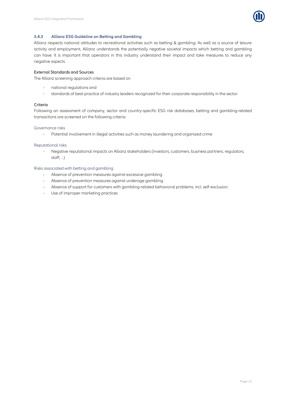

#### <span id="page-15-0"></span>**3.4.3 Allianz ESG Guideline on Betting and Gambling**

Allianz respects national attitudes to recreational activities such as betting & gambling. As well as a source of leisure activity and employment, Allianz understands the potentially negative societal impacts which betting and gambling can have. It is important that operators in this industry understand their impact and take measures to reduce any negative aspects.

#### External Standards and Sources

The Allianz screening approach criteria are based on

- national regulations and
- standards of best-practice of industry leaders recognized for their corporate responsibility in the sector.  $\alpha$

#### Criteria

Following an assessment of company, sector and country-specific ESG risk databases, betting and gambling-related transactions are screened on the following criteria:

#### Governance risks

 $\alpha$ Potential involvement in illegal activities such as money laundering and organized crime

#### Reputational risks

Negative reputational impacts on Allianz stakeholders (investors, customers, business partners, regulators,  $\alpha$ staff, ...)

#### Risks associated with betting and gambling

- $\alpha$ Absence of prevention measures against excessive gambling
- Absence of prevention measures against underage gambling  $\alpha$  .
- Absence of support for customers with gambling-related behavioral problems, incl. self-exclusion.
- Use of improper marketing practices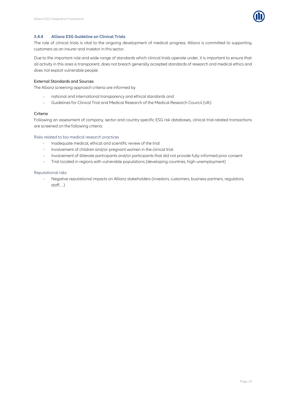

#### <span id="page-16-0"></span>**3.4.4 Allianz ESG Guideline on Clinical Trials**

The role of clinical trials is vital to the ongoing development of medical progress. Allianz is committed to supporting customers as an insurer and investor in this sector.

Due to the important role and wide range of standards which clinical trials operate under, it is important to ensure that all activity in this area is transparent, does not breach generally accepted standards of research and medical ethics and does not exploit vulnerable people.

#### External Standards and Sources

The Allianz screening approach criteria are informed by

- national and international transparency and ethical standards and
- Guidelines for Clinical Trial and Medical Research of the Medical Research Council (UK).  $\bar{\alpha}$

#### Criteria

Following an assessment of company, sector and country-specific ESG risk databases, clinical trial-related transactions are screened on the following criteria:

#### Risks related to bio-medical research practices

- Inadequate medical, ethical and scientific review of the trial  $\alpha$
- $\alpha$ Involvement of children and/or pregnant women in the clinical trial
- $\alpha$ Involvement of illiterate participants and/or participants that did not provide fully-informed prior consent
- $\alpha$ Trial located in regions with vulnerable populations (developing countries, high-unemployment)

#### Reputational risks

Negative reputational impacts on Allianz stakeholders (investors, customers, business partners, regulators,  $\sim$ staff, ...)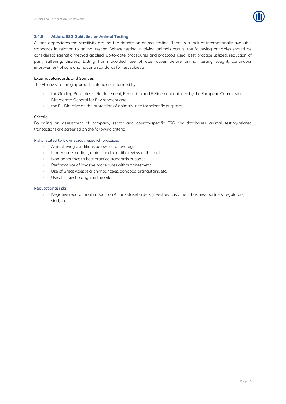

#### <span id="page-17-0"></span>**3.4.5 Allianz ESG Guideline on Animal Testing**

Allianz appreciates the sensitivity around the debate on animal testing. There is a lack of internationally available standards in relation to animal testing. Where testing involving animals occurs, the following principles should be considered: scientific method applied, up-to-date procedures and protocols used, best practice utilized, reduction of pain, suffering, distress, lasting harm avoided, use of alternatives before animal testing sought, continuous improvement of care and housing standards for test subjects.

#### External Standards and Sources

The Allianz screening approach criteria are informed by

- the Guiding Principles of Replacement, Reduction and Refinement outlined by the European Commission Directorate-General for Environment and
- the EU Directive on the protection of animals used for scientific purposes.  $\alpha$

#### Criteria

Following an assessment of company, sector and country-specific ESG risk databases, animal testing-related transactions are screened on the following criteria:

#### Risks related to bio-medical research practices

- $\sim$ Animal living conditions below sector average
- Inadequate medical, ethical and scientific review of the trial  $\Delta$
- Non-adherence to best practice standards or codes
- Performance of invasive procedures without anesthetic  $\alpha$
- Use of Great Apes (e.g. chimpanzees, bonobos, orangutans, etc.)
- Use of subjects caught in the wild

#### Reputational risks

Negative reputational impacts on Allianz stakeholders (investors, customers, business partners, regulators,  $\alpha$  . staff, ...)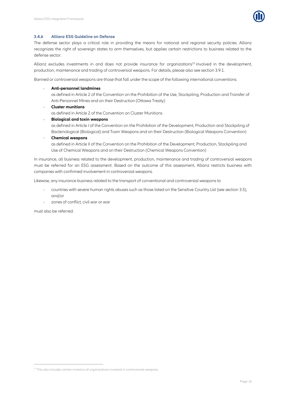

#### <span id="page-18-0"></span>**3.4.6 Allianz ESG Guideline on Defense**

The defense sector plays a critical role in providing the means for national and regional security policies. Allianz recognizes the right of sovereign states to arm themselves, but applies certain restrictions to business related to the defense sector.

Allianz excludes investments in and does not provide insurance for organizations<sup>15</sup> involved in the development, production, maintenance and trading of controversial weapons. For details, please also see sectio[n 3.9.1.](#page-35-1)

Banned or controversial weapons are those that fall under the scope of the following international conventions:

**Anti-personnel landmines**

as defined in Article 2 of the Convention on the Prohibition of the Use, Stockpiling, Production and Transfer of Anti-Personnel Mines and on their Destruction (Ottawa Treaty)

**Cluster munitions**

as defined in Article 2 of the Convention on Cluster Munitions

**Biological and toxin weapons**

as defined in Article I of the Convention on the Prohibition of the Development, Production and Stockpiling of Bacteriological (Biological) and Toxin Weapons and on their Destruction (Biological Weapons Convention)

**Chemical weapons**

as defined in Article II of the Convention on the Prohibition of the Development, Production, Stockpiling and Use of Chemical Weapons and on their Destruction (Chemical Weapons Convention)

In insurance, all business related to the development, production, maintenance and trading of controversial weapons must be referred for an ESG assessment. Based on the outcome of this assessment, Allianz restricts business with companies with confirmed involvement in controversial weapons.

Likewise, any insurance business related to the transport of conventional and controversial weapons to

- countries with severe human rights abuses such as those listed on the Sensitive Country List (see sectio[n 3.5\)](#page-29-0), and/or
- zones of conflict, civil war or war

must also be referred.

1

<sup>&</sup>lt;sup>15</sup> This also includes certain investors of organizations involved in controversial weapons.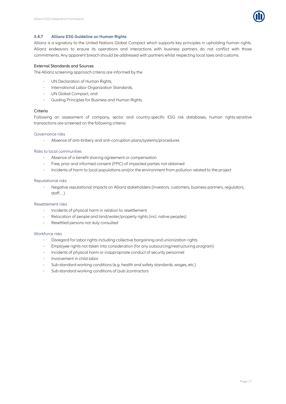

#### <span id="page-19-0"></span>**3.4.7 Allianz ESG Guideline on Human Rights**

Allianz is a signatory to the United Nations Global Compact which supports key principles in upholding human rights. Allianz endeavors to ensure its operations and interactions with business partners do not conflict with those commitments. Any apparent breach should be addressed with partners whilst respecting local laws and customs.

#### External Standards and Sources

The Allianz screening approach criteria are informed by the

- UN Declaration of Human Rights,  $\alpha$
- International Labor Organization Standards,
- UN Global Compact, and
- $\alpha$ Guiding Principles for Business and Human Rights.

#### Criteria

Following an assessment of company, sector and country-specific ESG risk databases, human rights-sensitive transactions are screened on the following criteria:

#### Governance risks

Absence of anti-bribery and anti-corruption plans/systems/procedures  $\alpha$ 

#### Risks to local communities

- Absence of a benefit sharing agreement or compensation
- Free, prior and informed consent (FPIC) of impacted parties not obtained
- Incidents of harm to local populations and/or the environment from pollution related to the project  $\alpha$

#### Reputational risks

Negative reputational impacts on Allianz stakeholders (investors, customers, business partners, regulators, staff, ...)

#### Resettlement risks

- Incidents of physical harm in relation to resettlement
- Relocation of people and land/water/property rights (incl. native peoples)
- Resettled persons not duly consulted  $\sim$

#### Workforce risks

- Disregard for labor rights including collective bargaining and unionization rights
- Employee rights not taken into consideration (for any outsourcing/restructuring program)
- Incidents of physical harm or inappropriate conduct of security personnel
- Involvement in child labor
- Sub-standard working conditions (e.g. health and safety standards, wages, etc.)  $\alpha$
- Sub-standard working conditions of (sub-)contractors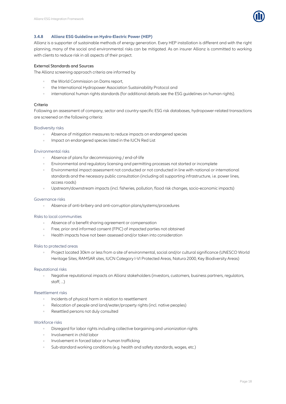

#### <span id="page-20-0"></span>**3.4.8 Allianz ESG Guideline on Hydro-Electric Power (HEP)**

Allianz is a supporter of sustainable methods of energy generation. Every HEP installation is different and with the right planning, many of the social and environmental risks can be mitigated. As an insurer Allianz is committed to working with clients to reduce risk in all aspects of their project.

#### External Standards and Sources

The Allianz screening approach criteria are informed by

- the World Commission on Dams report,
- the International Hydropower Association Sustainability Protocol and
- international human rights standards (for additional details see the ESG guidelines on human rights).

#### Criteria

Following an assessment of company, sector and country-specific ESG risk databases, hydropower-related transactions are screened on the following criteria:

#### Biodiversity risks

- Absence of mitigation measures to reduce impacts on endangered species
- Impact on endangered species listed in the IUCN Red List

#### Environmental risks

- Absence of plans for decommissioning / end-of-life
- Environmental and regulatory licensing and permitting processes not started or incomplete
- Environmental impact assessment not conducted or not conducted in line with national or international  $\alpha$ standards and the necessary public consultation (including all supporting infrastructure, i.e. power lines, access roads)
- Upstream/downstream impacts (incl. fisheries, pollution, flood risk changes, socio-economic impacts)

#### Governance risks

Absence of anti-bribery and anti-corruption plans/systems/procedures

#### Risks to local communities

- Absence of a benefit sharing agreement or compensation
- Free, prior and informed consent (FPIC) of impacted parties not obtained
- Health impacts have not been assessed and/or taken into consideration

#### Risks to protected areas

Project located 30km or less from a site of environmental, social and/or cultural significance (UNESCO World Heritage Sites, RAMSAR sites, IUCN Category I-VI Protected Areas, Natura 2000, Key Biodiversity Areas)

#### Reputational risks

Negative reputational impacts on Allianz stakeholders (investors, customers, business partners, regulators, staff<sup>)</sup>

#### Resettlement risks

- Incidents of physical harm in relation to resettlement
- Relocation of people and land/water/property rights (incl. native peoples)
- Resettled persons not duly consulted

#### Workforce risks

- Disregard for labor rights including collective bargaining and unionization rights
- Involvement in child labor
- Involvement in forced labor or human trafficking
- Sub-standard working conditions (e.g. health and safety standards, wages, etc.)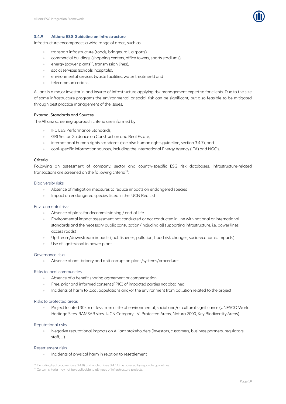

#### <span id="page-21-0"></span>**3.4.9 Allianz ESG Guideline on Infrastructure**

Infrastructure encompasses a wide range of areas, such as:

- transport infrastructure (roads, bridges, rail, airports),
- commercial buildings (shopping centers, office towers, sports stadiums),
- energy (power plants<sup>16</sup>, transmission lines),
- social services (schools, hospitals),
- environmental services (waste facilities, water treatment) and
- telecommunications.

Allianz is a major investor in and insurer of infrastructure applying risk management expertise for clients. Due to the size of some infrastructure programs the environmental or social risk can be significant, but also feasible to be mitigated through best practice management of the issues.

#### External Standards and Sources

The Allianz screening approach criteria are informed by

- IFC E&S Performance Standards,
- GRI Sector Guidance on Construction and Real Estate,
- international human rights standards (see also human rights guideline, section [3.4.7\)](#page-19-0), and
- coal-specific information sources, including the International Energy Agency (IEA) and NGOs.

#### Criteria

Following an assessment of company, sector and country-specific ESG risk databases, infrastructure-related transactions are screened on the following criteria<sup>17</sup>:

#### Biodiversity risks

- Absence of mitigation measures to reduce impacts on endangered species
- Impact on endangered species listed in the IUCN Red List

#### Environmental risks

- Absence of plans for decommissioning / end-of-life
- Environmental impact assessment not conducted or not conducted in line with national or international standards and the necessary public consultation (including all supporting infrastructure, i.e. power lines, access roads)
- Upstream/downstream impacts (incl. fisheries, pollution, flood risk changes, socio-economic impacts)
- Use of lignite/coal in power plant

#### Governance risks

Absence of anti-bribery and anti-corruption plans/systems/procedures  $\alpha$ 

#### Risks to local communities

- Absence of a benefit sharing agreement or compensation
- Free, prior and informed consent (FPIC) of impacted parties not obtained
- Incidents of harm to local populations and/or the environment from pollution related to the project

#### Risks to protected areas

Project located 30km or less from a site of environmental, social and/or cultural significance (UNESCO World Heritage Sites, RAMSAR sites, IUCN Category I-VI Protected Areas, Natura 2000, Key Biodiversity Areas)

#### Reputational risks

Negative reputational impacts on Allianz stakeholders (investors, customers, business partners, regulators, staff, ...)

#### Resettlement risks

 $\overline{a}$ 

Incidents of physical harm in relation to resettlement

<sup>&</sup>lt;sup>16</sup> Excluding hydro-power (se[e 3.4.8\)](#page-20-0) and nuclear (se[e 3.4.11\)](#page-25-0), as covered by separate quidelines

<sup>&</sup>lt;sup>17</sup> Certain criteria may not be applicable to all types of infrastructure projects.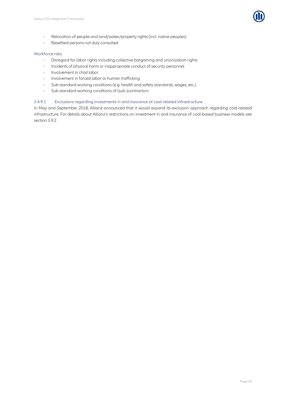

- Relocation of people and land/water/property rights (incl. native peoples)  $\bar{\phantom{a}}$
- Resettled persons not duly consulted

#### Workforce risks

- Disregard for labor rights including collective bargaining and unionization rights  $\alpha$
- $\ddot{\phantom{a}}$ Incidents of physical harm or inappropriate conduct of security personnel
- Involvement in child labor  $\alpha$
- Involvement in forced labor or human trafficking  $\alpha$
- Sub-standard working conditions (e.g. health and safety standards, wages, etc.)  $\hat{\mathbf{0}}$
- $\bar{\alpha}$ Sub-standard working conditions of (sub-)contractors

#### 3.4.9.1 Exclusions regarding investments in and insurance of coal-related infrastructure

In May and September 2018, Allianz announced that it would expand its exclusion approach regarding coal-related infrastructure. For details about Allianz's restrictions on investment in and insurance of coal-based business models see sectio[n 3.9.2.](#page-35-2)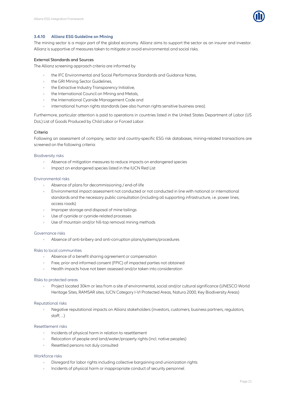

#### <span id="page-23-0"></span>**3.4.10 Allianz ESG Guideline on Mining**

The mining sector is a major part of the global economy. Allianz aims to support the sector as an insurer and investor. Allianz is supportive of measures taken to mitigate or avoid environmental and social risks.

#### External Standards and Sources

The Allianz screening approach criteria are informed by

- the IFC Environmental and Social Performance Standards and Guidance Notes,
- the GRI Mining Sector Guidelines,
- the Extractive Industry Transparency Initiative,
- the International Council on Mining and Metals,
- the International Cyanide Management Code and
- international human rights standards (see also human rights sensitive business area).

Furthermore, particular attention is paid to operations in countries listed in the United States Department of Labor (US DoL) List of Goods Produced by Child Labor or Forced Labor.

#### **Criteria**

Following an assessment of company, sector and country-specific ESG risk databases, mining-related transactions are screened on the following criteria:

#### Biodiversity risks

- Absence of mitigation measures to reduce impacts on endangered species
- Impact on endangered species listed in the IUCN Red List

#### Environmental risks

- Absence of plans for decommissioning / end-of-life
- Environmental impact assessment not conducted or not conducted in line with national or international standards and the necessary public consultation (including all supporting infrastructure, i.e. power lines, access roads)
- Improper storage and disposal of mine tailings
- Use of cyanide or cyanide-related processes
- Use of mountain and/or hill-top removal mining methods

#### Governance risks

Absence of anti-bribery and anti-corruption plans/systems/procedures  $\alpha$ 

#### Risks to local communities

- Absence of a benefit sharing agreement or compensation
- Free, prior and informed consent (FPIC) of impacted parties not obtained
- Health impacts have not been assessed and/or taken into consideration

#### Risks to protected areas

Project located 30km or less from a site of environmental, social and/or cultural significance (UNESCO World Heritage Sites, RAMSAR sites, IUCN Category I-VI Protected Areas, Natura 2000, Key Biodiversity Areas)

#### Reputational risks

Negative reputational impacts on Allianz stakeholders (investors, customers, business partners, regulators, staff, ...)

#### Resettlement risks

- Incidents of physical harm in relation to resettlement
- Relocation of people and land/water/property rights (incl. native peoples)
- Resettled persons not duly consulted

#### Workforce risks

- Disregard for labor rights including collective bargaining and unionization rights
- Incidents of physical harm or inappropriate conduct of security personnel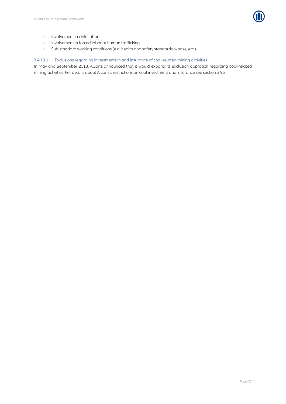

- Involvement in child labor  $\hat{\mathbf{r}}$
- Involvement in forced labor or human trafficking  $\alpha$
- $\alpha$ Sub-standard working conditions (e.g. health and safety standards, wages, etc.)

#### 3.4.10.1 Exclusions regarding investments in and insurance of coal-related mining activities

In May and September 2018, Allianz announced that it would expand its exclusion approach regarding coal-related mining activities. For details about Allianz's restrictions on coal investment and insurance see section [3.9.2.](#page-35-2)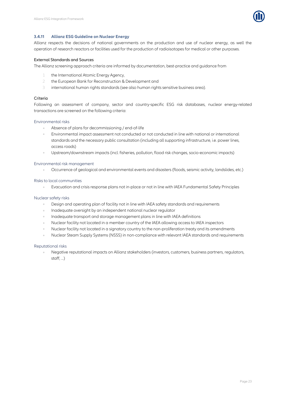

#### <span id="page-25-0"></span>**3.4.11 Allianz ESG Guideline on Nuclear Energy**

Allianz respects the decisions of national governments on the production and use of nuclear energy, as well the operation of research reactors or facilities used for the production of radioisotopes for medical or other purposes.

#### External Standards and Sources

The Allianz screening approach criteria are informed by documentation, best-practice and guidance from

- the International Atomic Energy Agency,
- 2 the European Bank for Reconstruction & Development and
- 3 international human rights standards (see also human rights sensitive business area).

#### Criteria

Following an assessment of company, sector and country-specific ESG risk databases, nuclear energy-related transactions are screened on the following criteria:

#### Environmental risks

- Absence of plans for decommissioning / end-of-life
- Environmental impact assessment not conducted or not conducted in line with national or international standards and the necessary public consultation (including all supporting infrastructure, i.e. power lines, access roads)
- Upstream/downstream impacts (incl. fisheries, pollution, flood risk changes, socio-economic impacts)

#### Environmental risk management

 $\alpha$ Occurrence of geological and environmental events and disasters (floods, seismic activity, landslides, etc.)

#### Risks to local communities

 $\alpha$ Evacuation and crisis response plans not in-place or not in line with IAEA Fundamental Safety Principles

#### Nuclear safety risks

- Design and operating plan of facility not in line with IAEA safety standards and requirements
- Inadequate oversight by an independent national nuclear regulator  $\alpha$
- Inadequate transport and storage management plans in line with IAEA definitions
- Nuclear facility not located in a member country of the IAEA allowing access to IAEA inspectors
- Nuclear facility not located in a signatory country to the non-proliferation treaty and its amendments
- Nuclear Steam Supply Systems (NSSS) in non-compliance with relevant IAEA standards and requirements

#### Reputational risks

Negative reputational impacts on Allianz stakeholders (investors, customers, business partners, regulators, staff, ...)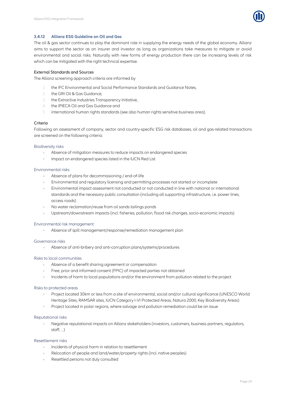

#### <span id="page-26-0"></span>**3.4.12 Allianz ESG Guideline on Oil and Gas**

The oil & gas sector continues to play the dominant role in supplying the energy needs of the global economy. Allianz aims to support the sector as an insurer and investor as long as organizations take measures to mitigate or avoid environmental and social risks. Naturally with new forms of energy production there can be increasing levels of risk which can be mitigated with the right technical expertise.

#### External Standards and Sources

The Allianz screening approach criteria are informed by

- 1 the IFC Environmental and Social Performance Standards and Guidance Notes,
- 2 the GRI Oil & Gas Guidance,
- 3 the Extractive Industries Transparency Initiative,
- 4 the IPIECA Oil and Gas Guidance and
- 5 international human rights standards (see also human rights sensitive business area).

#### Criteria

Following an assessment of company, sector and country-specific ESG risk databases, oil and gas-related transactions are screened on the following criteria:

#### Biodiversity risks

- $\alpha$ Absence of mitigation measures to reduce impacts on endangered species
- Impact on endangered species listed in the IUCN Red List

#### Environmental risks

- Absence of plans for decommissioning / end-of-life  $\sim$
- Environmental and regulatory licensing and permitting processes not started or incomplete
- Environmental impact assessment not conducted or not conducted in line with national or international standards and the necessary public consultation (including all supporting infrastructure, i.e. power lines, access roads)
- No water reclamation/reuse from oil sands tailings ponds
- Upstream/downstream impacts (incl. fisheries, pollution, flood risk changes, socio-economic impacts)  $\alpha$

#### Environmental risk management

Absence of spill management/response/remediation management plan

#### Governance risks

Absence of anti-bribery and anti-corruption plans/systems/procedures

#### Risks to local communities

- Absence of a benefit sharing agreement or compensation
- Free, prior and informed consent (FPIC) of impacted parties not obtained
- Incidents of harm to local populations and/or the environment from pollution related to the project

#### Risks to protected areas

- Project located 30km or less from a site of environmental, social and/or cultural significance (UNESCO World  $\alpha$  . Heritage Sites, RAMSAR sites, IUCN Category I-VI Protected Areas, Natura 2000, Key Biodiversity Areas)
- Project located in polar regions, where salvage and pollution remediation could be an issue

#### Reputational risks

Negative reputational impacts on Allianz stakeholders (investors, customers, business partners, regulators,  $start$ )

#### Resettlement risks

- Incidents of physical harm in relation to resettlement
- Relocation of people and land/water/property rights (incl. native peoples)
- Resettled persons not duly consulted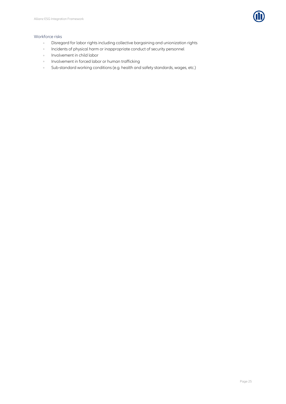

#### Workforce risks

- Disregard for labor rights including collective bargaining and unionization rights  $\alpha$
- $\hat{\mathcal{O}}$ Incidents of physical harm or inappropriate conduct of security personnel
- Involvement in child labor  $\bar{\phantom{a}}$
- Involvement in forced labor or human trafficking  $\alpha$
- Sub-standard working conditions (e.g. health and safety standards, wages, etc.) $\ddot{\phantom{a}}$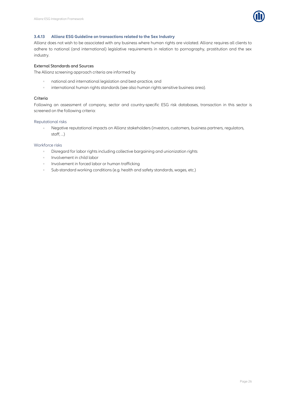

#### <span id="page-28-0"></span>**3.4.13 Allianz ESG Guideline on transactions related to the Sex Industry**

Allianz does not wish to be associated with any business where human rights are violated. Allianz requires all clients to adhere to national (and international) legislative requirements in relation to pornography, prostitution and the sex industry.

#### External Standards and Sources

The Allianz screening approach criteria are informed by

- national and international legislation and best-practice, and  $\alpha$
- $\bar{\theta}$ international human rights standards (see also human rights sensitive business area).

#### Criteria

Following an assessment of company, sector and country-specific ESG risk databases, transaction in this sector is screened on the following criteria:

#### Reputational risks

Negative reputational impacts on Allianz stakeholders (investors, customers, business partners, regulators, staff, ...)

#### Workforce risks

- Disregard for labor rights including collective bargaining and unionization rights  $\Delta$
- Involvement in child labor
- Involvement in forced labor or human trafficking
- Sub-standard working conditions (e.g. health and safety standards, wages, etc.)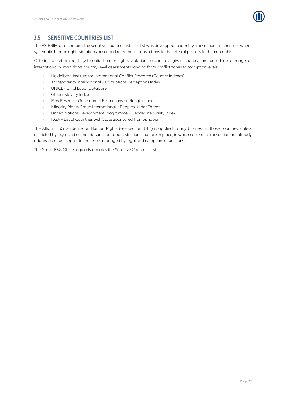

## <span id="page-29-0"></span>**3.5 SENSITIVE COUNTRIES LIST**

The AS RRIM also contains the sensitive countries list. This list was developed to identify transactions in countries where systematic human rights violations occur and refer those transactions to the referral process for human rights.

Criteria, to determine if systematic human rights violations occur in a given country, are based on a range of international human rights country-level assessments ranging from conflict zones to corruption levels:

- Heidelberg Institute for International Conflict Research (Country Indexes)  $\alpha$
- Transparency International Corruptions Perceptions Index
- UNICEF Child Labor Database  $\lambda$
- Global Slavery Index
- Pew Research Government Restrictions on Religion Index
- Minority Rights Group International Peoples Under Threat
- United Nations Development Programme Gender Inequality Index  $\alpha$
- ILGA List of Countries with State Sponsored Homophobia  $\ddot{\phantom{a}}$

The Allianz ESG Guideline on Human Rights (see section [3.4.7\)](#page-19-0) is applied to any business in those countries, unless restricted by legal and economic sanctions and restrictions that are in place, in which case such transaction are already addressed under separate processes managed by legal and compliance functions.

The Group ESG Office regularly updates the Sensitive Countries List.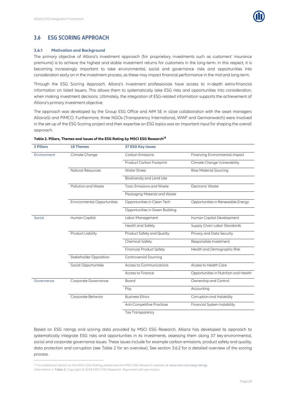

## <span id="page-30-0"></span>**3.6 ESG SCORING APPROACH**

#### <span id="page-30-1"></span>**3.6.1 Motivation and Background**

The primary objective of Allianz's investment approach (for proprietary investments such as customers' insurance premiums) is to achieve the highest and stable investment returns for customers in the long-term. In this respect, it is becoming increasingly important to take environmental, social and governance risks and opportunities into consideration early on in the investment process, as these may impact financial performance in the mid and long-term.

Through the ESG Scoring Approach, Allianz's investment professionals have access to in-depth extra-financial information on listed issuers. This allows them to systematically take ESG risks and opportunities into consideration, when making investment decisions. Ultimately, the integration of ESG-related information supports the achievement of Allianz's primary investment objective.

The approach was developed by the Group ESG Office and AIM SE in close collaboration with the asset managers AllianzGI and PIMCO. Furthermore, three NGOs (Transparency International, WWF and Germanwatch) were involved in the set-up of the ESG Scoring project and their expertise on ESG topics was an important input for shaping the overall approach.

| <b>3 Pillars</b> | <b>10 Themes</b>                   | <b>37 ESG Key Issues</b>          |                                       |
|------------------|------------------------------------|-----------------------------------|---------------------------------------|
| Environment      | Climate Change                     | <b>Carbon Emissions</b>           | Financing Environmental Impact        |
|                  |                                    | Product Carbon Footprint          | Climate Change Vulnerability          |
|                  | <b>Natural Resources</b>           | <b>Water Stress</b>               | <b>Raw Material Sourcing</b>          |
|                  |                                    | Biodiversity and Land Use         |                                       |
|                  | Pollution and Waste                | <b>Toxic Emissions and Waste</b>  | <b>Electronic Waste</b>               |
|                  |                                    | Packaging Material and Waste      |                                       |
|                  | <b>Environmental Opportunities</b> | Opportunities in Clean Tech       | Opportunities in Renewable Energy     |
|                  |                                    | Opportunities in Green Building   |                                       |
| Social           | Human Capital                      | Labor Management                  | Human Capital Development             |
|                  |                                    | Health and Safety                 | Supply Chain Labor Standards          |
|                  | Product Liability                  | Product Safety and Quality        | Privacy and Data Security             |
|                  |                                    | <b>Chemical Safety</b>            | Responsible Investment                |
|                  |                                    | <b>Financial Product Safety</b>   | Health and Demographic Risk           |
|                  | <b>Stakeholder Opposition</b>      | <b>Controversial Sourcing</b>     |                                       |
|                  | Social Opportunities               | Access to Communications          | Access to Health Care                 |
|                  |                                    | Access to Finance                 | Opportunities in Nutrition and Health |
| Governance       | Corporate Governance               | Board                             | Ownership and Control                 |
|                  |                                    | Pay                               | Accounting                            |
|                  | Corporate Behavior                 | <b>Business Ethics</b>            | Corruption and Instability            |
|                  |                                    | <b>Anti-Competitive Practices</b> | Financial System Instability          |
|                  |                                    | <b>Tax Transparency</b>           |                                       |

#### <span id="page-30-2"></span>**Table 2. Pillars, Themes and Issues of the ESG Rating by MSCI ESG Research<sup>18</sup>**

Based on ESG ratings and scoring data provided by MSCI ESG Research, Allianz has developed its approach to systematically integrate ESG risks and opportunities in its investments, assessing them along 37 key environmental, social and corporate governance issues. These issues include for example carbon emissions, product safety and quality, data protection and corruption (see [Table 2](#page-30-2) for an overview). See section [3.6.2](#page-31-0) for a detailed overview of the scoring process.

 $\overline{a}$ 

<sup>&</sup>lt;sup>18</sup> For additional details on the MSCI ESG Rating, please see the MSCI ESG Research website at www.msci.com/esq-ratings. Information in [Table 2](#page-30-2). Copyright © 2018 MSCI ESG Research. Reprinted with permission.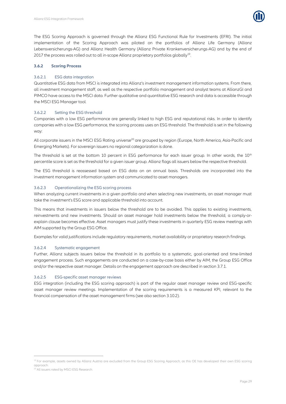

The ESG Scoring Approach is governed through the Allianz ESG Functional Rule for Investments (EFRI). The initial implementation of the Scoring Approach was piloted on the portfolios of Allianz Life Germany (Allianz Lebensversicherungs-AG) and Allianz Health Germany (Allianz Private Krankenversicherungs-AG) and by the end of 2017 the process was rolled out to all in-scope Allianz proprietary portfolios globally<sup>19</sup>. .

#### <span id="page-31-0"></span>**3.6.2 Scoring Process**

#### 3.6.2.1 ESG data integration

Quantitative ESG data from MSCI is integrated into Allianz's investment management information systems. From there, all investment management staff, as well as the respective portfolio management and analyst teams at AllianzGI and PIMCO have access to the MSCI data. Further qualitative and quantitative ESG research and data is accessible through the MSCI ESG Manager tool.

#### 3.6.2.2 Setting the ESG threshold

Companies with a low ESG performance are generally linked to high ESG and reputational risks. In order to identify companies with a low ESG performance, the scoring process uses an ESG threshold. The threshold is set in the following way:

All corporate issuers in the MSCI ESG Rating universe<sup>20</sup> are grouped by region (Europe, North America, Asia-Pacific and Emerging Markets). For sovereign issuers no regional categorization is done.

The threshold is set at the bottom 10 percent in ESG performance for each issuer group. In other words, the 10<sup>th</sup> percentile score is set as the threshold for a given issuer group. Allianz flags all issuers below the respective threshold.

The ESG threshold is reassessed based on ESG data on an annual basis. Thresholds are incorporated into the investment management information system and communicated to asset managers.

#### 3.6.2.3 Operationalizing the ESG scoring process

When analyzing current investments in a given portfolio and when selecting new investments, an asset manager must take the investment's ESG score and applicable threshold into account.

This means that investments in issuers below the threshold are to be avoided. This applies to existing investments, reinvestments and new investments. Should an asset manager hold investments below the threshold, a comply-orexplain clause becomes effective. Asset managers must justify these investments in quarterly ESG review meetings with AIM supported by the Group ESG Office.

Examples for valid justifications include regulatory requirements, market availability or proprietary research findings.

#### 3.6.2.4 Systematic engagement

Further, Allianz subjects issuers below the threshold in its portfolio to a systematic, goal-oriented and time-limited engagement process. Such engagements are conducted on a case-by-case basis either by AIM, the Group ESG Office and/or the respective asset manager. Details on the engagement approach are described in sectio[n 3.7.1.](#page-32-1)

#### 3.6.2.5 ESG-specific asset manager reviews

ESG integration (including the ESG scoring approach) is part of the regular asset manager review and ESG-specific asset manager review meetings. Implementation of the scoring requirements is a measured KPI, relevant to the financial compensation of the asset management firms (see also section [3.10.2\)](#page-38-2).

 $\overline{a}$ 

<sup>&</sup>lt;sup>19</sup> For example, assets owned by Allianz Austria are excluded from the Group ESG Scoring Approach, as this OE has developed their own ESG scoring approach.

<sup>&</sup>lt;sup>20</sup> All issuers rated by MSCI ESG Research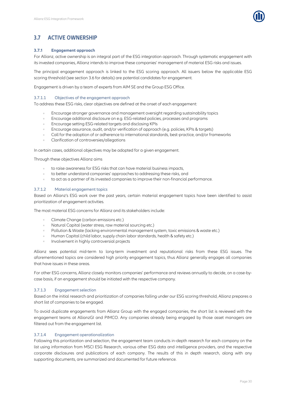

## <span id="page-32-0"></span>**3.7 ACTIVE OWNERSHIP**

#### <span id="page-32-1"></span>**3.7.1 Engagement approach**

For Allianz, active ownership is an integral part of the ESG integration approach. Through systematic engagement with its invested companies, Allianz intends to improve these companies' management of material ESG risks and issues.

The principal engagement approach is linked to the ESG scoring approach. All issuers below the applicable ESG scoring threshold (see section [3.6](#page-30-0) for details) are potential candidates for engagement.

Engagement is driven by a team of experts from AIM SE and the Group ESG Office.

#### 3.7.1.1 Objectives of the engagement approach

To address these ESG risks, clear objectives are defined at the onset of each engagement:

- Encourage stronger governance and management oversight regarding sustainability topics
- Encourage additional disclosure on e.g. ESG-related policies, processes and programs
- Encourage setting ESG-related targets and disclosing KPIs  $\bar{\theta}$
- Encourage assurance, audit, and/or verification of approach (e.g. policies, KPIs & targets)
- Call for the adoption of or adherence to international standards, best-practice, and/or frameworks
- Clarification of controversies/allegations

In certain cases, additional objectives may be adopted for a given engagement.

Through these objectives Allianz aims

- to raise awareness for ESG risks that can have material business impacts,
- to better understand companies' approaches to addressing these risks, and
- to act as a partner of its invested companies to improve their non-financial performance.

#### 3.7.1.2 Material engagement topics

Based on Allianz's ESG work over the past years, certain material engagement topics have been identified to assist prioritization of engagement activities.

The most material ESG concerns for Allianz and its stakeholders include:

- Climate Change (carbon emissions etc.)
- Natural Capital (water stress, raw material sourcing etc.)
- Pollution & Waste (lacking environmental management system, toxic emissions & waste etc.)
- Human Capital (child labor, supply chain labor standards, health & safety etc.)
- Involvement in highly controversial projects

Allianz sees potential mid-term to long-term investment and reputational risks from these ESG issues. The aforementioned topics are considered high priority engagement topics, thus Allianz generally engages all companies that have issues in these areas.

For other ESG concerns, Allianz closely monitors companies' performance and reviews annually to decide, on a case-bycase basis, if an engagement should be initiated with the respective company.

#### 3.7.1.3 Engagement selection

Based on the initial research and prioritization of companies falling under our ESG scoring threshold, Allianz prepares a short list of companies to be engaged.

To avoid duplicate engagements from Allianz Group with the engaged companies, the short list is reviewed with the engagement teams at AllianzGI and PIMCO. Any companies already being engaged by those asset managers are filtered out from the engagement list.

#### 3.7.1.4 Engagement operationalization

Following this prioritization and selection, the engagement team conducts in-depth research for each company on the list using information from MSCI ESG Research, various other ESG data and intelligence providers, and the respective corporate disclosures and publications of each company. The results of this in depth research, along with any supporting documents, are summarized and documented for future reference.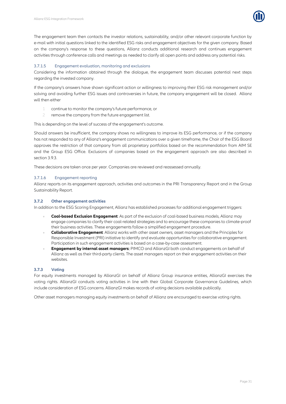

The engagement team then contacts the investor relations, sustainability, and/or other relevant corporate function by e-mail with initial questions linked to the identified ESG risks and engagement objectives for the given company. Based on the company's response to these questions, Allianz conducts additional research and continues engagement activities through conference calls and meetings as needed to clarify all open points and address any potential risks.

#### 3.7.1.5 Engagement evaluation, monitoring and exclusions

Considering the information obtained through the dialogue, the engagement team discusses potential next steps regarding the invested company.

If the company's answers have shown significant action or willingness to improving their ESG risk management and/or solving and avoiding further ESG issues and controversies in future, the company engagement will be closed. Allianz will then either

- 1 continue to monitor the company's future performance, or
- 2 remove the company from the future engagement list.

This is depending on the level of success of the engagement's outcome.

Should answers be insufficient, the company shows no willingness to improve its ESG performance, or if the company has not responded to any of Allianz's engagement communications over a given timeframe, the Chair of the ESG Board approves the restriction of that company from all proprietary portfolios based on the recommendation from AIM SE and the Group ESG Office. Exclusions of companies based on the engagement approach are also described in section [3.9.3.](#page-37-0)

These decisions are taken once per year. Companies are reviewed and reassessed annually.

#### 3.7.1.6 Engagement reporting

Allianz reports on its engagement approach, activities and outcomes in the PRI Transparency Report and in the Group Sustainability Report.

#### <span id="page-33-0"></span>**3.7.2 Other engagement activities**

In addition to the ESG Scoring Engagement, Allianz has established processes for additional engagement triggers:

- **Coal-based Exclusion Engagement**: As part of the exclusion of coal-based business models, Allianz may engage companies to clarify their coal-related strategies and to encourage these companies to climate-proof their business activities. These engagements follow a simplified engagement procedure.
- **Collaborative Engagement**: Allianz works with other asset owners, asset managers and the Principles for Responsible Investment (PRI) initiative to identify and evaluate opportunities for collaborative engagement. Participation in such engagement activities is based on a case-by-case assessment.
- **Engagement by internal asset managers**: PIMCO and AllianzGI both conduct engagements on behalf of Allianz as well as their third-party clients. The asset managers report on their engagement activities on their websites.

#### <span id="page-33-1"></span>**3.7.3 Voting**

For equity investments managed by AllianzGI on behalf of Allianz Group insurance entities, AllianzGI exercises the voting rights. AllianzGI conducts voting activities in line with their Global Corporate Governance Guidelines, which include consideration of ESG concerns. AllianzGI makes records of voting decisions available publically.

Other asset managers managing equity investments on behalf of Allianz are encouraged to exercise voting rights.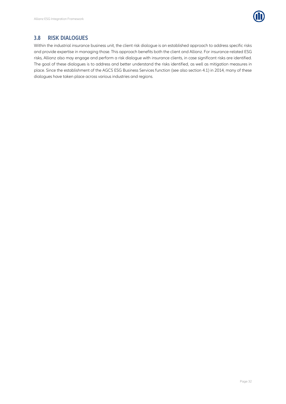

### <span id="page-34-0"></span>**3.8 RISK DIALOGUES**

Within the industrial insurance business unit, the client risk dialogue is an established approach to address specific risks and provide expertise in managing those. This approach benefits both the client and Allianz. For insurance-related ESG risks, Allianz also may engage and perform a risk dialogue with insurance clients, in case significant risks are identified. The goal of these dialogues is to address and better understand the risks identified, as well as mitigation measures in place. Since the establishment of the AGCS ESG Business Services function (see also section [4.1\)](#page-41-1) in 2014, many of these dialogues have taken place across various industries and regions.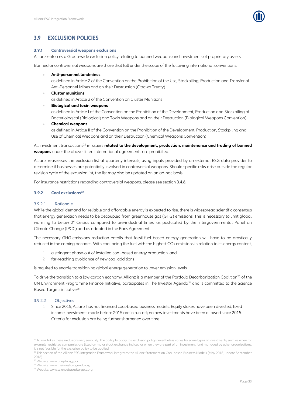

## <span id="page-35-0"></span>**3.9 EXCLUSION POLICIES**

#### <span id="page-35-1"></span>**3.9.1 Controversial weapons exclusions**

Allianz enforces a Group-wide exclusion policy relating to banned weapons and investments of proprietary assets.

Banned or controversial weapons are those that fall under the scope of the following international conventions:

#### **Anti-personnel landmines**

as defined in Article 2 of the Convention on the Prohibition of the Use, Stockpiling, Production and Transfer of Anti-Personnel Mines and on their Destruction (Ottawa Treaty)

#### **Cluster munitions**

as defined in Article 2 of the Convention on Cluster Munitions

#### **Biological and toxin weapons**

as defined in Article I of the Convention on the Prohibition of the Development, Production and Stockpiling of Bacteriological (Biological) and Toxin Weapons and on their Destruction (Biological Weapons Convention)

#### **Chemical weapons**

as defined in Article II of the Convention on the Prohibition of the Development, Production, Stockpiling and Use of Chemical Weapons and on their Destruction (Chemical Weapons Convention)

All investment transactions <sup>21</sup> in issuers **related to the development, production, maintenance and trading of banned weapons** under the above-listed international agreements are prohibited.

Allianz reassesses the exclusion list at quarterly intervals, using inputs provided by an external ESG data provider to determine if businesses are potentially involved in controversial weapons. Should specific risks arise outside the regular revision cycle of the exclusion list, the list may also be updated on an ad-hoc basis.

For insurance restrictions regarding controversial weapons, please see sectio[n 3.4.6.](#page-18-0)

#### <span id="page-35-2"></span>**3.9.2 Coal exclusions<sup>22</sup>**

#### 3.9.2.1 Rationale

While the global demand for reliable and affordable energy is expected to rise, there is widespread scientific consensus that energy generation needs to be decoupled from greenhouse gas (GHG) emissions. This is necessary to limit global warming to below 2° Celsius compared to pre-industrial times, as postulated by the Intergovernmental Panel on Climate Change (IPCC) and as adopted in the Paris Agreement.

The necessary GHG-emissions reduction entails that fossil-fuel based energy generation will have to be drastically reduced in the coming decades. With coal being the fuel with the highest CO<sub>2</sub> emissions in relation to its energy content,

- a stringent phase-out of installed coal-based energy production, and
- 2 far-reaching avoidance of new coal additions

is required to enable transitioning global energy generation to lower emission levels.

To drive the transition to a low-carbon economy, Allianz is a member of the Portfolio Decarbonization Coalition<sup>23</sup> of the UN Environment Programme Finance Initiative, participates in The Investor Agenda<sup>24</sup> and is committed to the Science Based Targets initiative<sup>25</sup>. .

#### 3.9.2.2 Objectives

1

Since 2015, Allianz has not financed coal-based business models. Equity stakes have been divested; fixed income investments made before 2015 are in run-off; no new investments have been allowed since 2015. Criteria for exclusion are being further sharpened over time

<sup>&</sup>lt;sup>21</sup> Allianz takes these exclusions very seriously. The ability to apply this exclusion policy nevertheless varies for some types of investments, such as when for example, restricted companies are listed on major stock exchange indices, or when they are part of an investment fund managed by other organizations, it is not feasible for the exclusion policy to be applied.

<sup>&</sup>lt;sup>22</sup> This section of the Allianz ESG Integration Framework integrates the Allianz Statement on Coal-based Business Models (May 2018, update September 2018)

<sup>23</sup> Website: www.unepfi.org/pdc

<sup>24</sup> Website: www.theinvestoragenda.org

<sup>25</sup> Website: www.sciencebasedtargets.org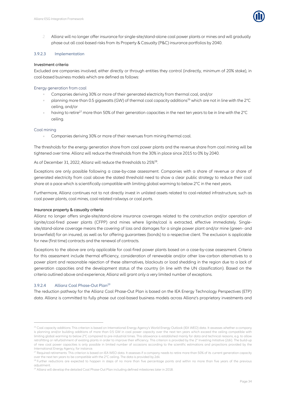

2 Allianz will no longer offer insurance for single-site/stand-alone coal power plants or mines and will gradually phase out all coal-based risks from its Property & Casualty (P&C) insurance portfolios by 2040.

#### 3.9.2.3 Implementation

#### Investment criteria

Excluded are companies involved, either directly or through entities they control (indirectly, minimum of 20% stake), in coal-based business models which are defined as follows:

#### Energy generation from coal

- Companies deriving 30% or more of their generated electricity from thermal coal, and/or
- planning more than 0.5 gigawatts (GW) of thermal coal capacity additions<sup>26</sup> which are not in line with the 2°C  $\alpha$ ceiling, and/or
- having to retire<sup>27</sup> more than 50% of their generation capacities in the next ten years to be in line with the 2°C ceiling.

#### Coal mining

 $\alpha$ Companies deriving 30% or more of their revenues from mining thermal coal.

The thresholds for the energy generation share from coal power plants and the revenue share from coal mining will be tightened over time. Allianz will reduce the thresholds from the 30% in place since 2015 to 0% by 2040.

As of December 31, 2022, Allianz will reduce the thresholds to 25%<sup>28</sup>. .

Exceptions are only possible following a case-by-case assessment. Companies with a share of revenue or share of generated electricity from coal above the stated threshold need to show a clear public strategy to reduce their coal share at a pace which is scientifically compatible with limiting global warming to below 2°C in the next years.

Furthermore, Allianz continues not to not directly invest in unlisted assets related to coal-related infrastructure, such as coal power plants, coal mines, coal-related railways or coal ports.

#### Insurance property & casualty criteria

Allianz no longer offers single-site/stand-alone insurance coverages related to the construction and/or operation of lignite/coal-fired power plants (CFPP) and mines where lignite/coal is extracted, effective immediately. Singlesite/stand-alone coverage means the covering of loss and damages for a single power plant and/or mine (green- and brownfield) for an insured, as well as for offering guarantees (bonds) to a respective client. The exclusion is applicable for new (first time) contracts and the renewal of contracts.

Exceptions to the above are only applicable for coal-fired power plants based on a case-by-case assessment. Criteria for this assessment include thermal efficiency, consideration of renewable and/or other low-carbon alternatives to a power plant and reasonable rejection of these alternatives, blackouts or load shedding in the region due to a lack of generation capacities and the development status of the country (in line with the UN classification). Based on the criteria outlined above and experience, Allianz will grant only a very limited number of exceptions.

#### 3.9.2.4 Allianz Coal Phase-Out Plan<sup>29</sup>

1

The reduction pathway for the Allianz Coal Phase-Out Plan is based on the IEA Energy Technology Perspectives (ETP) data. Allianz is committed to fully phase out coal-based business models across Allianz's proprietary investments and

<sup>&</sup>lt;sup>26</sup> Coal capacity additions: This criterion is based on International Energy Agency's World Energy Outlook (IEA WEO) data. It assesses whether a company is planning and/or building additions of more than 0.5 GW in coal power capacity over the next ten years which exceed the ceiling compatible with limiting global warming to below 2°C compared to pre-industrial times. This allowance is established mainly for data and technical reasons, e.g. to allow retrofitting or refurbishment of existing plants in order to improve their efficiency. This criterion is provided by the 2° Investing Initiative (2dii). The build-up of new coal power capacities is only possible in limited number of occasions according to the scientific estimations and projections provided by the International Energy Agency, for instance.

<sup>&</sup>lt;sup>27</sup> Required retirements: This criterion is based on IEA WEO data. It assesses if a company needs to retire more than 50% of its current generation capacity over the next ten years to be compatible with the 2°C ceiling. The data is provided by 2dii.

<sup>&</sup>lt;sup>28</sup> Further reductions are expected to happen in steps of no more than five percentage points and within no more than five years of the previous adjustment.

 $^{29}$  Allianz will develop the detailed Coal Phase-Out Plan including defined milestones later in 2018.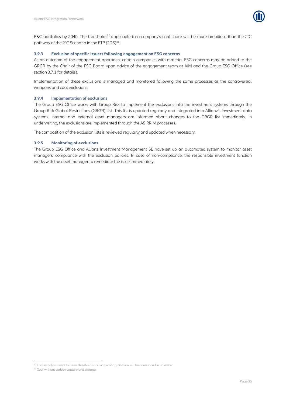

P&C portfolios by 2040. The thresholds<sup>30</sup> applicable to a company's coal share will be more ambitious than the 2°C pathway of the 2°C Scenario in the ETP (2DS)<sup>31</sup>. .

#### <span id="page-37-0"></span>**3.9.3 Exclusion of specific issuers following engagement on ESG concerns**

As an outcome of the engagement approach, certain companies with material ESG concerns may be added to the GRGR by the Chair of the ESG Board upon advice of the engagement team at AIM and the Group ESG Office (see sectio[n 3.7.1](#page-32-1) for details).

Implementation of these exclusions is managed and monitored following the same processes as the controversial weapons and coal exclusions.

#### <span id="page-37-1"></span>**3.9.4 Implementation of exclusions**

The Group ESG Office works with Group Risk to implement the exclusions into the investment systems through the Group Risk Global Restrictions (GRGR) List. This list is updated regularly and integrated into Allianz's investment data systems. Internal and external asset managers are informed about changes to the GRGR list immediately. In underwriting, the exclusions are implemented through the AS RRIM processes.

The composition of the exclusion lists is reviewed regularly and updated when necessary.

#### <span id="page-37-2"></span>**3.9.5 Monitoring of exclusions**

The Group ESG Office and Allianz Investment Management SE have set up an automated system to monitor asset managers' compliance with the exclusion policies. In case of non-compliance, the responsible investment function works with the asset manager to remediate the issue immediately.

 $\overline{a}$ 

<sup>&</sup>lt;sup>30</sup> Further adjustments to these thresholds and scope of application will be announced in advance.

<sup>&</sup>lt;sup>31</sup> Coal without carbon capture and storage.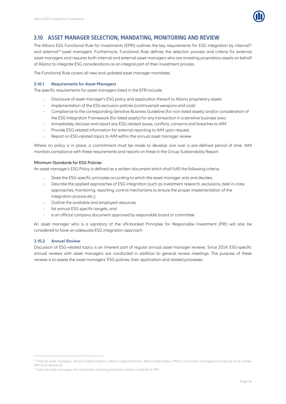

## <span id="page-38-0"></span>**3.10 ASSET MANAGER SELECTION, MANDATING, MONITORING AND REVIEW**

The Allianz ESG Functional Rule for Investments (EFRI) outlines the key requirements for ESG integration by internal<sup>32</sup> and external<sup>33</sup> asset managers. Furthermore, Functional Rule defines the selection process and criteria for external asset managers and requires both internal and external asset managers who are investing proprietary assets on behalf of Allianz to integrate ESG considerations as an integral part of their investment process.

The Functional Rule covers all new and updated asset manager mandates.

#### <span id="page-38-1"></span>**3.10.1 Requirements for Asset Managers**

The specific requirements for asset managers listed in the EFRI include:

- Disclosure of asset manager's ESG policy and application thereof to Allianz proprietary assets
- Implementation of the ESG exclusion policies (controversial weapons and coal)  $\alpha$
- Compliance to the corresponding Sensitive Business Guideline (for non-listed assets) and/or consideration of the ESG Integration Framework (for listed assets) for any transaction in a sensitive business area
- $\alpha$ Immediately disclose and report any ESG-related issues, conflicts, concerns and breaches to AIM
- Provide ESG-related information for external reporting to AIM upon request
- Report on ESG-related topics to AIM within the annual asset manager review

Where no policy is in place, a commitment must be made to develop one over a pre-defined period of time. AIM monitors compliance with these requirements and reports on these in the Group Sustainability Report.

#### Minimum Standards for ESG Policies

An asset manager's ESG Policy is defined as a written document which shall fulfil the following criteria:

- State the ESG-specific principles according to which the asset manager acts and decides
- Describe the applied approaches of ESG integration (such as investment research, exclusions, best-in-class approaches, monitoring, reporting, control mechanisms to ensure the proper implementation of the integration process etc.),
- Outline the available and employed resources,
- list annual ESG specific-targets, and
- is an official company document approved by responsible board or committee.

An asset manager who is a signatory of the UN-backed Principles for Responsible Investment (PRI) will also be considered to have an adequate ESG integration approach.

#### <span id="page-38-2"></span>**3.10.2 Annual Review**

 $\overline{a}$ 

Discussion of ESG-related topics is an inherent part of regular annual asset manager reviews. Since 2014, ESG-specific annual reviews with asset managers are conducted in addition to general review meetings. The purpose of these reviews is to assess the asset managers' ESG policies, their application and related processes.

<sup>32</sup> Internal asset managers: Allianz Global Investors, Allianz Capital Partners, Allianz Real Estate, PIMCO and assets managed internally by local entities, AIM SE or Allianz SE

<sup>&</sup>lt;sup>33</sup> External asset managers: Any third-party investing proprietary assets on behalf of AIM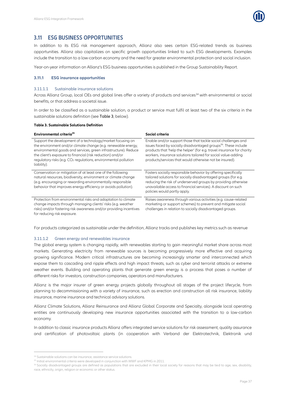

### <span id="page-39-0"></span>**3.11 ESG BUSINESS OPPORTUNITIES**

In addition to its ESG risk management approach, Allianz also sees certain ESG-related trends as business opportunities. Allianz also capitalizes on specific growth opportunities linked to such ESG developments. Examples include the transition to a low-carbon economy and the need for greater environmental protection and social inclusion.

Year-on-year information on Allianz's ESG business opportunities is published in the Group Sustainability Report.

#### <span id="page-39-1"></span>**3.11.1 ESG insurance opportunities**

#### 3.11.1.1 Sustainable insurance solutions

Across Allianz Group, local OEs and global lines offer a variety of products and services<sup>34</sup> with environmental or social benefits, or that address a societal issue.

In order to be classified as a sustainable solution, a product or service must fulfil at least two of the six criteria in the sustainable solutions definition (see [Table 3](#page-39-2), below).

#### <span id="page-39-2"></span>**Table 3. Sustainable Solutions Definition**

| Environmental criteria <sup>35</sup>                                                                                                                                                                                                                                                                                                                       | Social criteria                                                                                                                                                                                                                                                                                                                                    |  |
|------------------------------------------------------------------------------------------------------------------------------------------------------------------------------------------------------------------------------------------------------------------------------------------------------------------------------------------------------------|----------------------------------------------------------------------------------------------------------------------------------------------------------------------------------------------------------------------------------------------------------------------------------------------------------------------------------------------------|--|
| Support the development of a technology/market focusing on<br>the environment and/or climate change (e.g. renewable energy,<br>environmental goods and services, green infrastructure). Reduce<br>the client's exposure to financial (risk reduction) and/or<br>regulatory risks (e.g. CO <sub>2</sub> regulations, environmental pollution<br>liability). | Enable and/or support those that tackle social challenges and<br>issues faced by socially disadvantaged groups <sup>36</sup> . These include<br>products that 'help the helper' (for e.g. travel insurance for charity<br>workers, insurance solutions tailored for social value-adding<br>products/services that would otherwise not be insured). |  |
| Conservation or mitigation of at least one of the following:<br>natural resources, biodiversity, environment or climate change<br>(e.g. encouraging or rewarding environmentally responsible<br>behavior that improves energy efficiency or avoids pollution).                                                                                             | Fosters socially responsible behavior by offering specifically<br>tailored solutions for socially disadvantaged groups (for e.g.<br>reducing the risk of underserved groups by providing otherwise<br>unavailable access to financial services). A discount on such<br>policies would partly apply.                                                |  |
| Protection from environmental risks and adaptation to climate<br>change impacts through managing clients' risks (e.g. weather<br>risks) and/or fostering risk awareness and/or providing incentives<br>for reducing risk exposure.                                                                                                                         | Raises awareness through various activities (e.g. cause-related<br>marketing or support schemes) to prevent and mitigate social<br>challenges in relation to socially disadvantaged groups.                                                                                                                                                        |  |

For products categorized as sustainable under the definition, Allianz tracks and publishes key metrics such as revenue

#### 3.11.1.2 Green energy and renewables insurance

The global energy system is changing rapidly, with renewables starting to gain meaningful market share across most markets. Generating electricity from renewable sources is becoming progressively more effective and acquiring growing significance. Modern critical infrastructures are becoming increasingly smarter and interconnected which expose them to cascading and ripple effects and high impact threats, such as cyber and terrorist attacks or extreme weather events. Building and operating plants that generate green energy is a process that poses a number of different risks for investors, construction companies, operators and manufacturers.

Allianz is the major insurer of green energy projects globally throughout all stages of the project lifecycle, from planning to decommissioning with a variety of insurance, such as erection and construction all risk insurance, liability insurance, marine insurance and technical advisory solutions.

Allianz Climate Solutions, Allianz Reinsurance and Allianz Global Corporate and Specialty, alongside local operating entities are continuously developing new insurance opportunities associated with the transition to a low-carbon economy.

In addition to classic insurance products Allianz offers integrated service solutions for risk assessment, quality assurance and certification of photovoltaic plants (in cooperation with Verband der Elektrotechnik, Elektronik und

1

<sup>&</sup>lt;sup>34</sup> Sustainable solutions can be insurance, assistance service solutions.

<sup>&</sup>lt;sup>35</sup> Initial environmental criteria were developed in conjunction with WWF and KPMG in 2011.

<sup>&</sup>lt;sup>36</sup> Socially disadvantaged groups are defined as populations that are excluded in their local society for reasons that may be tied to age, sex, disability, race, ethnicity, origin, religion or economic or other status.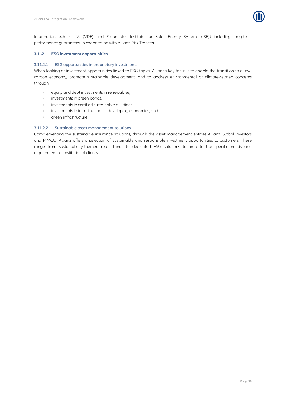

Informationstechnik e.V. (VDE) and Fraunhofer Institute for Solar Energy Systems (ISE)) including long-term performance guarantees, in cooperation with Allianz Risk Transfer.

#### <span id="page-40-0"></span>**3.11.2 ESG investment opportunities**

#### 3.11.2.1 ESG opportunities in proprietary investments

When looking at investment opportunities linked to ESG topics, Allianz's key focus is to enable the transition to a lowcarbon economy, promote sustainable development, and to address environmental or climate-related concerns through

- equity and debt investments in renewables,  $\alpha$
- investments in green bonds,  $\alpha$
- investments in certified sustainable buildings,  $\sim$
- investments in infrastructure in developing economies, and  $\alpha$
- $\alpha$ green infrastructure.

#### 3.11.2.2 Sustainable asset management solutions

Complementing the sustainable insurance solutions, through the asset management entities Allianz Global Investors and PIMCO, Allianz offers a selection of sustainable and responsible investment opportunities to customers. These range from sustainability-themed retail funds to dedicated ESG solutions tailored to the specific needs and requirements of institutional clients.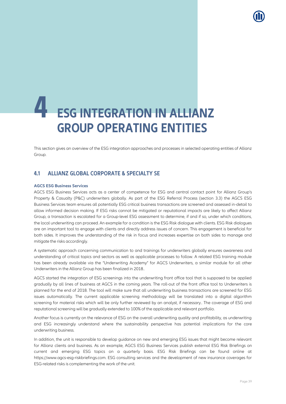

## <span id="page-41-0"></span>**4 ESG INTEGRATION IN ALLIANZ GROUP OPERATING ENTITIES**

This section gives an overview of the ESG integration approaches and processes in selected operating entities of Allianz Group.

## <span id="page-41-1"></span>**4.1 ALLIANZ GLOBAL CORPORATE & SPECIALTY SE**

#### <span id="page-41-2"></span>**AGCS ESG Business Services**

AGCS ESG Business Services acts as a center of competence for ESG and central contact point for Allianz Group's Property & Casualty (P&C) underwriters globally. As part of the ESG Referral Process (section [3.3\)](#page-9-0) the AGCS ESG Business Services team ensures all potentially ESG critical business transactions are screened and assessed in-detail to allow informed decision making. If ESG risks cannot be mitigated or reputational impacts are likely to affect Allianz Group, a transaction is escalated for a Group-level ESG assessment to determine, if and if so, under which conditions, the local underwriting can proceed. An example for a condition is the ESG Risk dialogue with clients. ESG Risk dialogues are an important tool to engage with clients and directly address issues of concern. This engagement is beneficial for both sides. It improves the understanding of the risk in focus and increases expertise on both sides to manage and mitigate the risks accordingly.

A systematic approach concerning communication to and trainings for underwriters globally ensures awareness and understanding of critical topics and sectors as well as applicable processes to follow. A related ESG training module has been already available via the "Underwriting Academy" for AGCS Underwriters, a similar module for all other Underwriters in the Allianz Group has been finalized in 2018..

AGCS started the integration of ESG screenings into the underwriting front office tool that is supposed to be applied gradually by all lines of business at AGCS in the coming years. The roll-out of the front office tool to Underwriters is planned for the end of 2018. The tool will make sure that all underwriting business transactions are screened for ESG issues automatically. The current applicable screening methodology will be translated into a digital algorithm screening for material risks which will be only further reviewed by an analyst, if necessary.. The coverage of ESG and reputational screening will be gradually extended to 100% of the applicable and relevant portfolio.

Another focus is currently on the relevance of ESG on the overall underwriting quality and profitability, as underwriting and ESG increasingly understand where the sustainability perspective has potential implications for the core underwriting business.

In addition, the unit is responsible to develop guidance on new and emerging ESG issues that might become relevant for Allianz clients and business. As an example, AGCS ESG Business Services publish external ESG Risk Briefings on current and emerging ESG topics on a quarterly basis. ESG Risk Briefings can be found online at https://www.agcs-esg-riskbriefings.com. ESG consulting services and the development of new insurance coverages for ESG-related risks is complementing the work of the unit.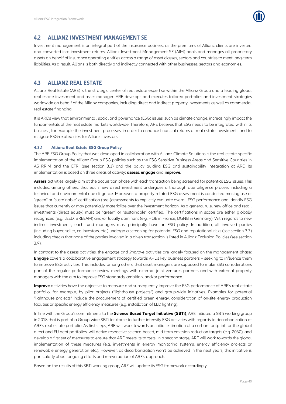

### <span id="page-42-0"></span>**4.2 ALLIANZ INVESTMENT MANAGEMENT SE**

Investment management is an integral part of the insurance business, as the premiums of Allianz clients are invested and converted into investment returns. Allianz Investment Management SE (AIM) pools and manages all proprietary assets on behalf of insurance operating entities across a range of asset classes, sectors and countries to meet long-term liabilities. As a result, Allianz is both directly and indirectly connected with other businesses, sectors and economies.

## <span id="page-42-1"></span>**4.3 ALLIANZ REAL ESTATE**

Allianz Real Estate (ARE) is the strategic center of real estate expertise within the Allianz Group and a leading global real estate investment and asset manager. ARE develops and executes tailored portfolios and investment strategies worldwide on behalf of the Allianz companies, including direct and indirect property investments as well as commercial real estate financing.

It is ARE's view that environmental, social and governance (ESG) issues, such as climate change, increasingly impact the fundamentals of the real estate markets worldwide. Therefore, ARE believes that ESG needs to be integrated within its business, for example the investment processes, in order to enhance financial returns of real estate investments and to mitigate ESG-related risks for Allianz investors.

#### <span id="page-42-2"></span>**4.3.1 Allianz Real Estate ESG Group Policy**

The ARE ESG Group Policy that was developed in collaboration with Allianz Climate Solutions is the real estate-specific implementation of the Allianz Group ESG policies such as the ESG Sensitive Business Areas and Sensitive Countries in AS RRIM and the EFRI (see section [3.1\)](#page-7-1) and the policy guiding ESG and sustainability integration at ARE. Its implementation is based on three areas of activity: **assess**, **engage** and **improve**.

**Assess**activities largely aim at the acquisition phase with each transaction being screened for potential ESG issues. This includes, among others, that each new direct investment undergoes a thorough due diligence process including a technical and environmental due diligence. Moreover, a property-related ESG assessment is conducted making use of "green" or "sustainable" certification (pre-)assessments to explicitly evaluate overall ESG performance and identify ESG issues that currently or may potentially materialize over the investment horizon. As a general rule, new office and retail investments (direct equity) must be "green" or "sustainable" certified. The certifications in scope are either globally recognized (e.g. LEED, BREEAM) and/or locally dominant (e.g. HQE in France, DGNB in Germany). With regards to new indirect investments, each fund managers must principally have an ESG policy. In addition, all involved parties (including buyer, seller, co-investors, etc.) undergo a screening for potential ESG and reputational risks (see section [3.3\)](#page-9-0) including checks that none of the parties involved in a given transaction is listed in Allianz Exclusion Policies (see section [3.9\)](#page-35-0).

In contrast to the assess activities, the *engage* and *improve* activities are largely focused on the management phase: **Engage** covers a collaborative engagement strategy towards ARE's key business partners – seeking to influence them to improve ESG activities. This includes, among others, that asset managers are supposed to make ESG considerations part of the regular performance review meetings with external joint ventures partners and with external property managers with the aim to improve ESG standards, ambition, and/or performance.

**Improve** activities have the objective to measure and subsequently improve the ESG performance of ARE's real estate portfolio, for example, by pilot projects ("lighthouse projects") and group-wide initiatives. Examples for potential "lighthouse projects" include the procurement of certified green energy, consideration of on-site energy production facilities or specific energy efficiency measures (e.g. installation of LED lighting).

In line with the Group's commitments to the **Science Based Target Initiative (SBTi)**, ARE initiated a SBTi working group in 2018 that is part of a Group-wide SBTi taskforce to further intensify ESG activities with regards to decarbonization of ARE's real estate portfolio. As first steps, ARE will work towards an initial estimation of a carbon footprint for the global direct and EU debt portfolios, will derive respective science-based, mid-term emission reduction targets (e.g. 2030), and develop a first set of measures to ensure that ARE meets its targets. In a second stage, ARE will work towards the global implementation of these measures (e.g. investments in energy monitoring systems, energy efficiency projects or renewable energy generation etc.). However, as decarbonization won't be achieved in the next years, this initiative is particularly about ongoing efforts and re-evaluation of ARE's approach.

Based on the results of this SBTi working group, ARE will update its ESG framework accordingly.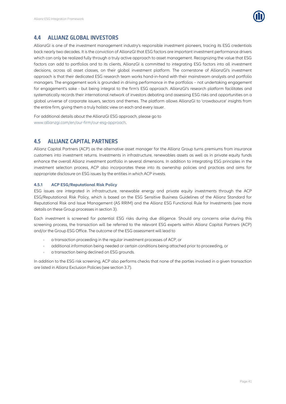

## <span id="page-43-0"></span>**4.4 ALLIANZ GLOBAL INVESTORS**

AllianzGI is one of the investment management industry's responsible investment pioneers, tracing its ESG credentials back nearly two decades. It is the conviction of AllianzGI that ESG factors are important investment performance drivers which can only be realized fully through a truly active approach to asset management. Recognizing the value that ESG factors can add to portfolios and to its clients, AllianzGI is committed to integrating ESG factors into all investment decisions, across all asset classes, on their global investment platform. The cornerstone of AllianzGI's investment approach is that their dedicated ESG research team works hand-in-hand with their mainstream analysts and portfolio managers. The engagement work is grounded in driving performance in the portfolios – not undertaking engagement for engagement's sake - but being integral to the firm's ESG approach. AllianzGI's research platform facilitates and systematically records their international network of investors debating and assessing ESG risks and opportunities on a global universe of corporate issuers, sectors and themes. The platform allows AllianzGI to 'crowdsource' insights from the entire firm, giving them a truly holistic view on each and every issuer.

For additional details about the AllianzGI ESG approach, please go to [www.allianzgi.com/en/our-firm/our-esg-approach.](http://www.allianzgi.com/en/our-firm/our-esg-approach)

## <span id="page-43-1"></span>**4.5 ALLIANZ CAPITAL PARTNERS**

Allianz Capital Partners (ACP) as the alternative asset manager for the Allianz Group turns premiums from insurance customers into investment returns. Investments in infrastructure, renewables assets as well as in private equity funds enhance the overall Allianz investment portfolio in several dimensions. In addition to integrating ESG principles in the investment selection process, ACP also incorporates these into its ownership policies and practices and aims for appropriate disclosure on ESG issues by the entities in which ACP invests.

#### <span id="page-43-2"></span>**4.5.1 ACP ESG/Reputational Risk Policy**

ESG issues are integrated in infrastructure, renewable energy and private equity investments through the ACP ESG/Reputational Risk Policy, which is based on the ESG Sensitive Business Guidelines of the Allianz Standard for Reputational Risk and Issue Management (AS RRIM) and the Allianz ESG Functional Rule for Investments (see more details on these Group processes in sectio[n 3\)](#page-7-0).

Each investment is screened for potential ESG risks during due diligence. Should any concerns arise during this screening process, the transaction will be referred to the relevant ESG experts within Allianz Capital Partners (ACP) and/or the Group ESG Office. The outcome of the ESG assessment will lead to

- a transaction proceeding in the regular investment processes of ACP, or
- $\alpha$ additional information being needed or certain conditions being attached prior to proceeding, or
- a transaction being declined on ESG grounds.

In addition to the ESG risk screening, ACP also performs checks that none of the parties involved in a given transaction are listed in Allianz Exclusion Policies (see section [3.7\)](#page-32-0).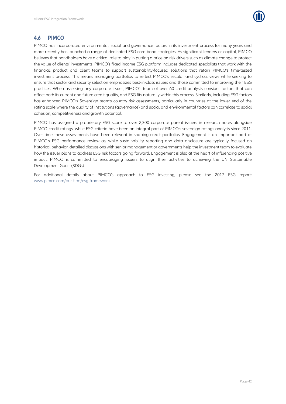

## <span id="page-44-0"></span>**4.6 PIMCO**

PIMCO has incorporated environmental, social and governance factors in its investment process for many years and more recently has launched a range of dedicated ESG core bond strategies. As significant lenders of capital, PIMCO believes that bondholders have a critical role to play in putting a price on risk drivers such as climate change to protect the value of clients' investments. PIMCO's fixed income ESG platform includes dedicated specialists that work with the financial, product and client teams to support sustainability-focused solutions that retain PIMCO's time-tested investment process. This means managing portfolios to reflect PIMCO's secular and cyclical views while seeking to ensure that sector and security selection emphasizes best-in-class issuers and those committed to improving their ESG practices. When assessing any corporate issuer, PIMCO's team of over 60 credit analysts consider factors that can affect both its current and future credit quality, and ESG fits naturally within this process. Similarly, including ESG factors has enhanced PIMCO's Sovereign team's country risk assessments, particularly in countries at the lower end of the rating scale where the quality of institutions (governance) and social and environmental factors can correlate to social cohesion, competitiveness and growth potential.

PIMCO has assigned a proprietary ESG score to over 2,300 corporate parent issuers in research notes alongside PIMCO credit ratings, while ESG criteria have been an integral part of PIMCO's sovereign ratings analysis since 2011. Over time these assessments have been relevant in shaping credit portfolios. Engagement is an important part of PIMCO's ESG performance review as, while sustainability reporting and data disclosure are typically focused on historical behavior, detailed discussions with senior management or governments help the investment team to evaluate how the issuer plans to address ESG risk factors going forward. Engagement is also at the heart of influencing positive impact. PIMCO is committed to encouraging issuers to align their activities to achieving the UN Sustainable Development Goals (SDGs).

For additional details about PIMCO's approach to ESG investing, please see the 2017 ESG report: [www.pimco.com/our-firm/esg-framework.](http://www.pimco.com/our-firm/esg-framework)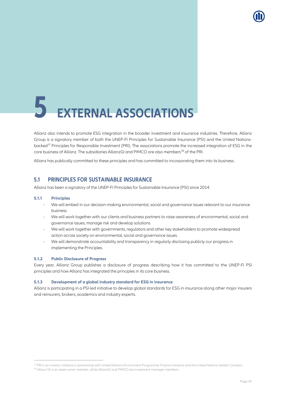<span id="page-45-0"></span>

Allianz also intends to promote ESG integration in the broader investment and insurance industries. Therefore, Allianz Group is a signatory member of both the UNEP-FI Principles for Sustainable Insurance (PSI) and the United Nationsbacked<sup>37</sup> Principles for Responsible Investment (PRI). The associations promote the increased integration of ESG in the core business of Allianz. The subsidiaries AllianzGI and PIMCO are also members<sup>38</sup> of the PRI.

<span id="page-45-1"></span>Allianz has publically committed to these principles and has committed to incorporating them into its business.

### **5.1 PRINCIPLES FOR SUSTAINABLE INSURANCE**

Allianz has been a signatory of the UNEP-FI Principles for Sustainable Insurance (PSI) since 2014.

#### <span id="page-45-2"></span>**5.1.1 Principles**

 $\overline{a}$ 

- We will embed in our decision-making environmental, social and governance issues relevant to our insurance business.
- We will work together with our clients and business partners to raise awareness of environmental, social and governance issues, manage risk and develop solutions.
- We will work together with governments, regulators and other key stakeholders to promote widespread action across society on environmental, social and governance issues.
- We will demonstrate accountability and transparency in regularly disclosing publicly our progress in  $\alpha$ implementing the Principles.

#### <span id="page-45-3"></span>**5.1.2 Public Disclosure of Progress**

Every year, Allianz Group publishes a disclosure of progress describing how it has committed to the UNEP-FI PSI principles and how Allianz has integrated the principles in its core business.

#### <span id="page-45-4"></span>**5.1.3 Development of a global industry standard for ESG in insurance**

Allianz is participating in a PSI-led initiative to develop global standards for ESG in insurance along other major insurers and reinsurers, brokers, academics and industry experts.

<sup>&</sup>lt;sup>37</sup> PRI is an investor initiative in partnership with United Nations Environment Programme Finance Initiative and the United Nations Global Compact. <sup>38</sup> Allianz SE is an asset owner member, while AllianzGI and PIMCO are investment manager members.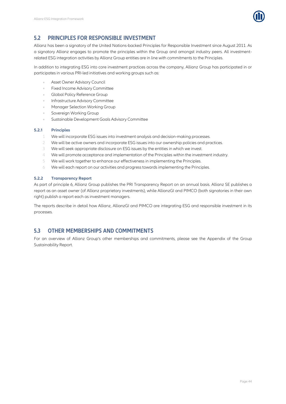

## <span id="page-46-0"></span>**5.2 PRINCIPLES FOR RESPONSIBLE INVESTMENT**

Allianz has been a signatory of the United Nations-backed Principles for Responsible Investment since August 2011. As a signatory Allianz engages to promote the principles within the Group and amongst industry peers. All investmentrelated ESG integration activities by Allianz Group entities are in line with commitments to the Principles.

In addition to integrating ESG into core investment practices across the company, Allianz Group has participated in or participates in various PRI-led initiatives and working groups such as:

- Asset Owner Advisory Council
- Fixed Income Advisory Committee
- Global Policy Reference Group  $\alpha$
- Infrastructure Advisory Committee
- Manager Selection Working Group
- Sovereign Working Group
- Sustainable Development Goals Advisory Committee

#### <span id="page-46-1"></span>**5.2.1 Principles**

- 1 We will incorporate ESG issues into investment analysis and decision-making processes.
- 2 We will be active owners and incorporate ESG issues into our ownership policies and practices.
- 3 We will seek appropriate disclosure on ESG issues by the entities in which we invest.
- 4 We will promote acceptance and implementation of the Principles within the investment industry.
- 5 We will work together to enhance our effectiveness in implementing the Principles.
- 6 We will each report on our activities and progress towards implementing the Principles.

#### <span id="page-46-2"></span>**5.2.2 Transparency Report**

As part of principle 6, Allianz Group publishes the PRI Transparency Report on an annual basis. Allianz SE publishes a report as an asset owner (of Allianz proprietary investments), while AllianzGI and PIMCO (both signatories in their own right) publish a report each as investment managers.

The reports describe in detail how Allianz, AllianzGI and PIMCO are integrating ESG and responsible investment in its processes.

## <span id="page-46-3"></span>**5.3 OTHER MEMBERSHIPS AND COMMITMENTS**

For an overview of Allianz Group's other memberships and commitments, please see the Appendix of the Group Sustainability Report.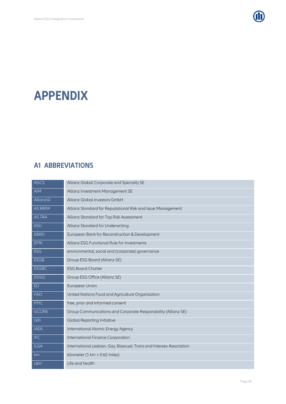

## <span id="page-47-1"></span><span id="page-47-0"></span>**APPENDIX**

## **A1 ABBREVIATIONS**

| <b>AGCS</b>      | Allianz Global Corporate and Specialty SE                            |
|------------------|----------------------------------------------------------------------|
| <b>AIM</b>       | Allianz Investment Management SE                                     |
| <b>AllianzGI</b> | Allianz Global Investors GmbH                                        |
| <b>AS RRIM</b>   | Allianz Standard for Reputational Risk and Issue Management          |
| <b>ASTRA</b>     | Allianz Standard for Top Risk Assessment                             |
| <b>ASU</b>       | Allianz Standard for Underwriting                                    |
| <b>EBRD</b>      | European Bank for Reconstruction & Development                       |
| <b>EFRI</b>      | Allianz ESG Functional Rule for Investments                          |
| <b>ESG</b>       | environmental, social and (corporate) governance                     |
| <b>ESGB</b>      | Group ESG Board (Allianz SE)                                         |
| <b>ESGBC</b>     | <b>ESG Board Charter</b>                                             |
| <b>ESGO</b>      | Group ESG Office (Allianz SE)                                        |
| EU               | European Union                                                       |
| <b>FAO</b>       | United Nations Food and Agriculture Organization                     |
| <b>FPIC</b>      | free, prior and informed consent                                     |
| <b>GCORE</b>     | Group Communications and Corporate Responsibility (Allianz SE)       |
| <b>GRI</b>       | <b>Global Reporting Initiative</b>                                   |
| <b>IAEA</b>      | International Atomic Energy Agency                                   |
| <b>IFC</b>       | International Finance Corporation                                    |
| <b>ILGA</b>      | International Lesbian, Gay, Bisexual, Trans and Intersex Association |
| km               | kilometer $(1 \text{ km} = 0.62 \text{ miles})$                      |
| L&H              | Life and health                                                      |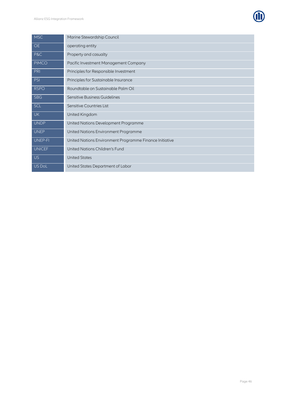

| <b>MSC</b>     | Marine Stewardship Council                              |
|----------------|---------------------------------------------------------|
| <b>OE</b>      | operating entity                                        |
| P&C            | Property and casualty                                   |
| <b>PIMCO</b>   | Pacific Investment Management Company                   |
| PRI            | Principles for Responsible Investment                   |
| <b>PSI</b>     | Principles for Sustainable Insurance                    |
| <b>RSPO</b>    | Roundtable on Sustainable Palm Oil                      |
| <b>SBG</b>     | Sensitive Business Guidelines                           |
| <b>SCL</b>     | Sensitive Countries List                                |
| <b>UK</b>      | United Kingdom                                          |
| <b>UNDP</b>    | United Nations Development Programme                    |
| <b>UNEP</b>    | United Nations Environment Programme                    |
| <b>UNEP-FI</b> | United Nations Environment Programme Finance Initiative |
| <b>UNICEF</b>  | United Nations Children's Fund                          |
| <b>US</b>      | <b>United States</b>                                    |
| US DoL         | United States Department of Labor                       |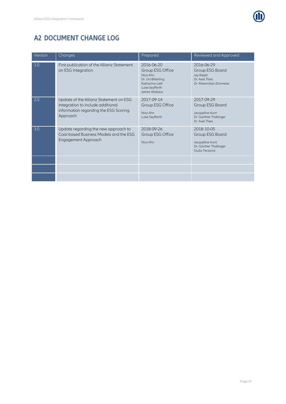

## <span id="page-49-0"></span>**A2 DOCUMENT CHANGE LOG**

| Version | Changes                                                                                                                          | Prepared                                                                                                                | Reviewed and Approved                                                                          |
|---------|----------------------------------------------------------------------------------------------------------------------------------|-------------------------------------------------------------------------------------------------------------------------|------------------------------------------------------------------------------------------------|
| 1.0     | First publication of the Allianz Statement<br>on ESG Integration                                                                 | 2016-06-20<br>Group ESG Office<br>Nico Ahn<br>Dr. Urs Bitterling<br>Katharina Latif<br>Luise Seyfferth<br>James Wallace | 2016-06-29<br>Group ESG Board<br>Jay Ralph<br>Dr. Axel Theis<br>Dr. Maximilian Zimmerer        |
| 2.0     | Update of the Allianz Statement on ESG<br>Integration to include additional<br>information regarding the ESG Scoring<br>Approach | 2017-09-14<br>Group ESG Office<br>Nico Ahn<br>Luise Seyfferth                                                           | 2017-09-29<br>Group ESG Board<br>Jacqueline Hunt<br>Dr. Günther Thallinger<br>Dr. Axel Theis   |
| 3.0     | Update regarding the new approach to<br>Coal-based Business Models and the ESG<br>Engagement Approach                            | 2018-09-26<br>Group ESG Office<br>Nico Ahn                                                                              | 2018-10-05<br>Group ESG Board<br>Jacqueline Hunt<br>Dr. Günther Thallinger<br>Giulio Terzariol |
|         |                                                                                                                                  |                                                                                                                         |                                                                                                |
|         |                                                                                                                                  |                                                                                                                         |                                                                                                |
|         |                                                                                                                                  |                                                                                                                         |                                                                                                |